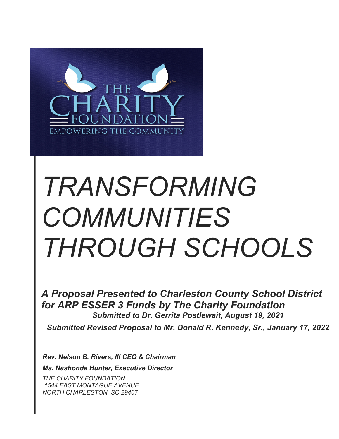

# *TRANSFORMING COMMUNITIES THROUGH SCHOOLS*

*A Proposal Presented to Charleston County School District for ARP ESSER 3 Funds by The Charity Foundation Submitted to Dr. Gerrita Postlewait, August 19, 2021*

*Submitted Revised Proposal to Mr. Donald R. Kennedy, Sr., January 17, 2022*

*Rev. Nelson B. Rivers, III CEO & Chairman* 

*Ms. Nashonda Hunter, Executive Director* 

*THE CHARITY FOUNDATION 1544 EAST MONTAGUE AVENUE NORTH CHARLESTON, SC 29407*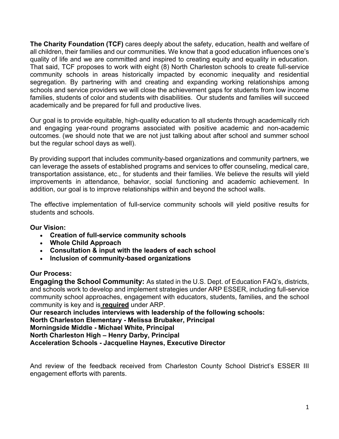**The Charity Foundation (TCF)** cares deeply about the safety, education, health and welfare of all children, their families and our communities. We know that a good education influences one's quality of life and we are committed and inspired to creating equity and equality in education. That said, TCF proposes to work with eight (8) North Charleston schools to create full-service community schools in areas historically impacted by economic inequality and residential segregation. By partnering with and creating and expanding working relationships among schools and service providers we will close the achievement gaps for students from low income families, students of color and students with disabilities. Our students and families will succeed academically and be prepared for full and productive lives.

Our goal is to provide equitable, high-quality education to all students through academically rich and engaging year-round programs associated with positive academic and non-academic outcomes. (we should note that we are not just talking about after school and summer school but the regular school days as well).

By providing support that includes community-based organizations and community partners, we can leverage the assets of established programs and services to offer counseling, medical care, transportation assistance, etc., for students and their families. We believe the results will yield improvements in attendance, behavior, social functioning and academic achievement. In addition, our goal is to improve relationships within and beyond the school walls.

The effective implementation of full-service community schools will yield positive results for students and schools.

## **Our Vision:**

- **Creation of full-service community schools**
- **Whole Child Approach**
- **Consultation & input with the leaders of each school**
- **Inclusion of community-based organizations**

## **Our Process:**

**Engaging the School Community:** As stated in the U.S. Dept. of Education FAQ's, districts, and schools work to develop and implement strategies under ARP ESSER, including full-service community school approaches, engagement with educators, students, families, and the school community is key and is **required** under ARP.

**Our research includes interviews with leadership of the following schools:**

**North Charleston Elementary - Melissa Brubaker, Principal**

**Morningside Middle - Michael White, Principal**

**North Charleston High – Henry Darby, Principal**

**Acceleration Schools - Jacqueline Haynes, Executive Director**

And review of the feedback received from Charleston County School District's ESSER III engagement efforts with parents.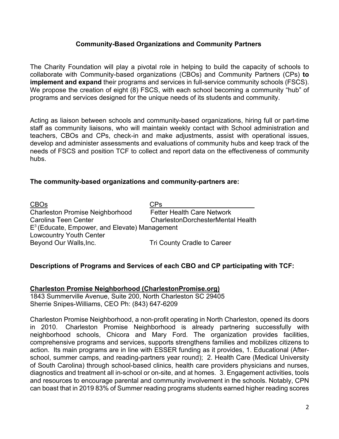#### **Community-Based Organizations and Community Partners**

The Charity Foundation will play a pivotal role in helping to build the capacity of schools to collaborate with Community-based organizations (CBOs) and Community Partners (CPs) **to implement and expand** their programs and services in full-service community schools (FSCS). We propose the creation of eight (8) FSCS, with each school becoming a community "hub" of programs and services designed for the unique needs of its students and community.

Acting as liaison between schools and community-based organizations, hiring full or part-time staff as community liaisons, who will maintain weekly contact with School administration and teachers, CBOs and CPs, check-in and make adjustments, assist with operational issues, develop and administer assessments and evaluations of community hubs and keep track of the needs of FSCS and position TCF to collect and report data on the effectiveness of community hubs.

#### **The community-based organizations and community-partners are:**

 $\c{C}$ BOs  $\c{C}$ Ps  $\c{C}$ Charleston Promise Neighborhood Fetter Health Care Network Carolina Teen Center CharlestonDorchesterMental Health E3 (Educate, Empower, and Elevate) Management Lowcountry Youth Center Beyond Our Walls, Inc. Tri County Cradle to Career

## **Descriptions of Programs and Services of each CBO and CP participating with TCF:**

**Charleston Promise Neighborhood (CharlestonPromise.org)** 1843 Summerville Avenue, Suite 200, North Charleston SC 29405 Sherrie Snipes-Williams, CEO Ph: (843) 647-6209

Charleston Promise Neighborhood, a non-profit operating in North Charleston, opened its doors in 2010. Charleston Promise Neighborhood is already partnering successfully with neighborhood schools, Chicora and Mary Ford. The organization provides facilities, comprehensive programs and services, supports strengthens families and mobilizes citizens to action. Its main programs are in line with ESSER funding as it provides, 1. Educational (Afterschool, summer camps, and reading-partners year round); 2. Health Care (Medical University of South Carolina) through school-based clinics, health care providers physicians and nurses, diagnostics and treatment all in-school or on-site, and at homes. 3. Engagement activities, tools and resources to encourage parental and community involvement in the schools. Notably, CPN can boast that in 2019 83% of Summer reading programs students earned higher reading scores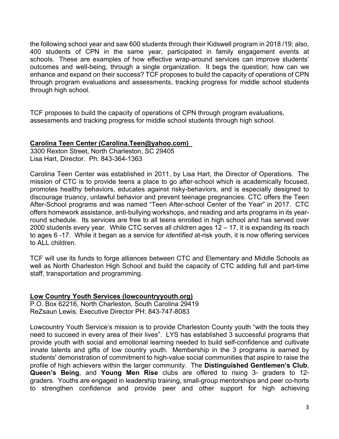the following school year and saw 600 students through their Kidswell program in 2018 /19; also, 400 students of CPN in the same year, participated in family engagement events at schools. These are examples of how effective wrap-around services can improve students' outcomes and well-being, through a single organization. It begs the question; how can we enhance and expand on their success? TCF proposes to build the capacity of operations of CPN through program evaluations and assessments, tracking progress for middle school students through high school.

TCF proposes to build the capacity of operations of CPN through program evaluations, assessments and tracking progress for middle school students through high school.

#### **Carolina Teen Center (Carolina.Teen@yahoo.com)**

3300 Rexton Street, North Charleston, SC 29405 Lisa Hart, Director. Ph: 843-364-1363

Carolina Teen Center was established in 2011, by Lisa Hart, the Director of Operations. The mission of CTC is to provide teens a place to go after-school which is academically focused, promotes healthy behaviors, educates against risky-behaviors, and is especially designed to discourage truancy, unlawful behavior and prevent teenage pregnancies. CTC offers the Teen After-School programs and was named "Teen After-school Center of the Year" in 2017. CTC offers homework assistance, anti-bullying workshops, and reading and arts programs in its yearround schedule. Its services are free to all teens enrolled in high school and has served over 2000 students every year. While CTC serves all children ages 12 – 17, it is expanding its reach to ages 6 -17. While it began as a service for *identified* at-risk youth, it is now offering services to ALL children.

TCF will use its funds to forge alliances between CTC and Elementary and Middle Schools as well as North Charleston High School and build the capacity of CTC adding full and part-time staff, transportation and programming.

#### **Low Country Youth Services (lowcountryyouth.org)**

P.O. Box 62216, North Charleston, South Carolina 29419 ReZsaun Lewis, Executive Director PH: 843-747-8083

Lowcountry Youth Service's mission is to provide Charleston County youth "with the tools they need to succeed in every area of their lives". LYS has established 3 successful programs that provide youth with social and emotional learning needed to build self-confidence and cultivate innate talents and gifts of low country youth. Membership in the 3 programs is earned by students' demonstration of commitment to high-value social communities that aspire to raise the profile of high achievers within the larger community. The **Distinguished Gentlemen's Club**, **Queen's Being, and Young Men Rise** clubs are offered to rising 3<sup>d</sup> graders to 12<sup>th</sup> graders. Youths are engaged in leadership training, small-group mentorships and peer co-horts to strengthen confidence and provide peer and other support for high achieving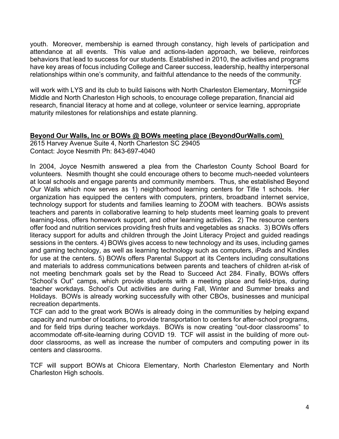youth. Moreover, membership is earned through constancy, high levels of participation and attendance at all events. This value and actions-laden approach, we believe, reinforces behaviors that lead to success for our students. Established in 2010, the activities and programs have key areas of focus including College and Career success, leadership, healthy interpersonal relationships within one's community, and faithful attendance to the needs of the community. **TCF** TO THE CONTROL CONTROL CONTROL CONTROL CONTROL CONTROL CONTROL CONTROL CONTROL CONTROL CONTROL CONTROL CONTROL CONTROL CONTROL CONTROL CONTROL CONTROL CONTROL CONTROL CONTROL CONTROL CONTROL CONTROL CONTROL CONTROL C

will work with LYS and its club to build liaisons with North Charleston Elementary, Morningside Middle and North Charleston High schools, to encourage college preparation, financial aid research, financial literacy at home and at college, volunteer or service learning, appropriate maturity milestones for relationships and estate planning.

#### **Beyond Our Walls, Inc or BOWs @ BOWs meeting place (BeyondOurWalls.com)**

2615 Harvey Avenue Suite 4, North Charleston SC 29405 Contact: Joyce Nesmith Ph: 843-697-4040

In 2004, Joyce Nesmith answered a plea from the Charleston County School Board for volunteers. Nesmith thought she could encourage others to become much-needed volunteers at local schools and engage parents and community members. Thus, she established Beyond Our Walls which now serves as 1) neighborhood learning centers for Title 1 schools. Her organization has equipped the centers with computers, printers, broadband internet service, technology support for students and families learning to ZOOM with teachers. BOWs assists teachers and parents in collaborative learning to help students meet learning goals to prevent learning-loss, offers homework support, and other learning activities. 2) The resource centers offer food and nutrition services providing fresh fruits and vegetables as snacks. 3) BOWs offers literacy support for adults and children through the Joint Literacy Project and guided readings sessions in the centers. 4) BOWs gives access to new technology and its uses, including games and gaming technology, as well as learning technology such as computers, iPads and Kindles for use at the centers. 5) BOWs offers Parental Support at its Centers including consultations and materials to address communications between parents and teachers of children at-risk of not meeting benchmark goals set by the Read to Succeed Act 284. Finally, BOWs offers "School's Out" camps, which provide students with a meeting place and field-trips, during teacher workdays. School's Out activities are during Fall, Winter and Summer breaks and Holidays. BOWs is already working successfully with other CBOs, businesses and municipal recreation departments.

TCF can add to the great work BOWs is already doing in the communities by helping expand capacity and number of locations, to provide transportation to centers for after-school programs, and for field trips during teacher workdays. BOWs is now creating "out-door classrooms" to accommodate off-site-learning during COVID 19. TCF will assist in the building of more outdoor classrooms, as well as increase the number of computers and computing power in its centers and classrooms.

TCF will support BOWs at Chicora Elementary, North Charleston Elementary and North Charleston High schools.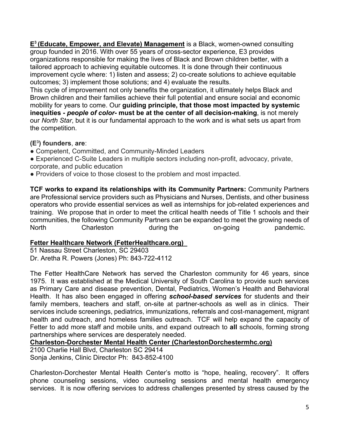**E3 (Educate, Empower, and Elevate) Management** is a Black, women-owned consulting group founded in 2016. With over 55 years of cross-sector experience, E3 provides organizations responsible for making the lives of Black and Brown children better, with a tailored approach to achieving equitable outcomes. It is done through their continuous improvement cycle where: 1) listen and assess; 2) co-create solutions to achieve equitable outcomes; 3) implement those solutions; and 4) evaluate the results.

This cycle of improvement not only benefits the organization, it ultimately helps Black and Brown children and their families achieve their full potential and ensure social and economic mobility for years to come. Our **guiding principle, that those most impacted by systemic inequities -** *people of color-* **must be at the center of all decision-making**, is not merely our *North Star*, but it is our fundamental approach to the work and is what sets us apart from the competition.

- **(E3 ) founders**, **are**:
- Competent, Committed, and Community-Minded Leaders
- Experienced C-Suite Leaders in multiple sectors including non-profit, advocacy, private, corporate, and public education
- Providers of voice to those closest to the problem and most impacted.

**TCF works to expand its relationships with its Community Partners:** Community Partners are Professional service providers such as Physicians and Nurses, Dentists, and other business operators who provide essential services as well as internships for job-related experiences and training. We propose that in order to meet the critical health needs of Title 1 schools and their communities, the following Community Partners can be expanded to meet the growing needs of North Charleston during the on-going pandemic.

## **Fetter Healthcare Network (FetterHealthcare.org)**

51 Nassau Street Charleston, SC 29403 Dr. Aretha R. Powers (Jones) Ph: 843-722-4112

The Fetter HealthCare Network has served the Charleston community for 46 years, since 1975. It was established at the Medical University of South Carolina to provide such services as Primary Care and disease prevention, Dental, Pediatrics, Women's Health and Behavioral Health. It has also been engaged in offering *school-based services* for students and their family members, teachers and staff, on-site at partner-schools as well as in clinics. Their services include screenings, pediatrics, immunizations, referrals and cost-management, migrant health and outreach, and homeless families outreach. TCF will help expand the capacity of Fetter to add more staff and mobile units, and expand outreach to **all** schools, forming strong partnerships where services are desperately needed.

## **Charleston-Dorchester Mental Health Center (CharlestonDorchestermhc.org)**

2100 Charlie Hall Blvd, Charleston SC 29414 Sonja Jenkins, Clinic Director Ph: 843-852-4100

Charleston-Dorchester Mental Health Center's motto is "hope, healing, recovery". It offers phone counseling sessions, video counseling sessions and mental health emergency services. It is now offering services to address challenges presented by stress caused by the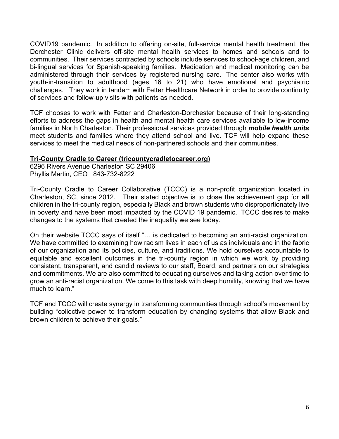COVID19 pandemic. In addition to offering on-site, full-service mental health treatment, the Dorchester Clinic delivers off-site mental health services to homes and schools and to communities. Their services contracted by schools include services to school-age children, and bi-lingual services for Spanish-speaking families. Medication and medical monitoring can be administered through their services by registered nursing care. The center also works with youth-in-transition to adulthood (ages 16 to 21) who have emotional and psychiatric challenges. They work in tandem with Fetter Healthcare Network in order to provide continuity of services and follow-up visits with patients as needed.

TCF chooses to work with Fetter and Charleston-Dorchester because of their long-standing efforts to address the gaps in health and mental health care services available to low-income families in North Charleston. Their professional services provided through *mobile health units*  meet students and families where they attend school and live. TCF will help expand these services to meet the medical needs of non-partnered schools and their communities.

#### **Tri-County Cradle to Career (tricountycradletocareer.org)**

6296 Rivers Avenue Charleston SC 29406 Phyllis Martin, CEO 843-732-8222

Tri-County Cradle to Career Collaborative (TCCC) is a non-profit organization located in Charleston, SC, since 2012. Their stated objective is to close the achievement gap for **all** children in the tri-county region, especially Black and brown students who disproportionately live in poverty and have been most impacted by the COVID 19 pandemic. TCCC desires to make changes to the systems that created the inequality we see today.

On their website TCCC says of itself "… is dedicated to becoming an anti-racist organization. We have committed to examining how racism lives in each of us as individuals and in the fabric of our organization and its policies, culture, and traditions. We hold ourselves accountable to equitable and excellent outcomes in the tri-county region in which we work by providing consistent, transparent, and candid reviews to our staff, Board, and partners on our strategies and commitments. We are also committed to educating ourselves and taking action over time to grow an anti-racist organization. We come to this task with deep humility, knowing that we have much to learn."

TCF and TCCC will create synergy in transforming communities through school's movement by building "collective power to transform education by changing systems that allow Black and brown children to achieve their goals."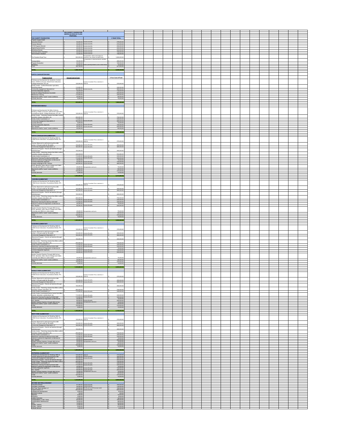|                                                                                                                                                                                                                                                                                                                | THE CHARITY FOUNDATION<br>AMERICAN RESCUE PLANS                                                                                       |                                                                                                                                                       |                                                                                                                                                                                                                      |  |  |  |  |  |  |  |  |  |
|----------------------------------------------------------------------------------------------------------------------------------------------------------------------------------------------------------------------------------------------------------------------------------------------------------------|---------------------------------------------------------------------------------------------------------------------------------------|-------------------------------------------------------------------------------------------------------------------------------------------------------|----------------------------------------------------------------------------------------------------------------------------------------------------------------------------------------------------------------------|--|--|--|--|--|--|--|--|--|
|                                                                                                                                                                                                                                                                                                                | PROPOSAL                                                                                                                              |                                                                                                                                                       | 3 YEAR TOTAL                                                                                                                                                                                                         |  |  |  |  |  |  |  |  |  |
| THE CHARITY FOUNDATION                                                                                                                                                                                                                                                                                         | 93,000.0                                                                                                                              |                                                                                                                                                       | 279,000.0                                                                                                                                                                                                            |  |  |  |  |  |  |  |  |  |
| Finance Director<br>TCTS Program Director<br>Digital Equity Director                                                                                                                                                                                                                                           |                                                                                                                                       | 90,000.00 Includes benefits<br>85,000.00 Includes benefits                                                                                            | 270,000.00<br>255,000.00                                                                                                                                                                                             |  |  |  |  |  |  |  |  |  |
|                                                                                                                                                                                                                                                                                                                |                                                                                                                                       | 80,000.00 Includes benefits<br>80,000.00 Includes benefits                                                                                            | 240,000.00<br>240,000.00                                                                                                                                                                                             |  |  |  |  |  |  |  |  |  |
| Marketing Director<br>Executive Admin Assistant<br>Administrative Assistant                                                                                                                                                                                                                                    | 52,000.00 lbs                                                                                                                         |                                                                                                                                                       | 156,000.00                                                                                                                                                                                                           |  |  |  |  |  |  |  |  |  |
| The Freedom Road Tour                                                                                                                                                                                                                                                                                          |                                                                                                                                       | Transportation, tickets and lodging for<br>500,000.00 students to tour historic civil rights sites<br>Transportation to intramural sports, activities | 1,500,000.00                                                                                                                                                                                                         |  |  |  |  |  |  |  |  |  |
| Transportation<br>Program Evaluation<br>Marketing<br>G & A                                                                                                                                                                                                                                                     | 95,000.00<br>60,000.00                                                                                                                | 25,000.00 writers, glanning sessions, ads & social media                                                                                              | 285,000.00<br>180,000.00<br>75,000.00                                                                                                                                                                                |  |  |  |  |  |  |  |  |  |
| <b>TOTAL</b>                                                                                                                                                                                                                                                                                                   | 183,750.00<br>1,408,750.00                                                                                                            |                                                                                                                                                       | 551,250.00<br>\$ 4,226,250.00                                                                                                                                                                                        |  |  |  |  |  |  |  |  |  |
| NORTH CHARLESTON HIGH                                                                                                                                                                                                                                                                                          |                                                                                                                                       |                                                                                                                                                       |                                                                                                                                                                                                                      |  |  |  |  |  |  |  |  |  |
|                                                                                                                                                                                                                                                                                                                | Annual Cost to Fund                                                                                                                   |                                                                                                                                                       | 3-Year Cost of Fund                                                                                                                                                                                                  |  |  |  |  |  |  |  |  |  |
| Project to Fund<br>Professional Development for Acedemic Content<br>Areas, STEM Curriculum, Data Driven Instruction,<br>College Readmess, RTI, etc.<br>Family Center - Conflict Resolution specialist,                                                                                                         |                                                                                                                                       | -<br>TOS,000.00 stpends<br>125,000.00 stpends                                                                                                         | 375,000.00                                                                                                                                                                                                           |  |  |  |  |  |  |  |  |  |
|                                                                                                                                                                                                                                                                                                                | 110,000.00                                                                                                                            |                                                                                                                                                       | 330,000.00                                                                                                                                                                                                           |  |  |  |  |  |  |  |  |  |
| Parenting classes<br>Community engagement Specia<br>Full-time Interpreter (Spanish)<br>ent Specialist x2                                                                                                                                                                                                       | 160,000.00<br>45,000.00<br>80,000.00                                                                                                  | as ben                                                                                                                                                | 480,000.00<br>135,000.00<br>240,000.00                                                                                                                                                                               |  |  |  |  |  |  |  |  |  |
| Career & College Readiness Counselor<br>AfterSchool Tutoring<br>Stipends for staff to "coach" clubs & athletics<br>Laundry Services                                                                                                                                                                            | 110,000.00<br>20,000.00                                                                                                               |                                                                                                                                                       | 330,000.00<br>60,000.00                                                                                                                                                                                              |  |  |  |  |  |  |  |  |  |
| <b>TOTAL</b>                                                                                                                                                                                                                                                                                                   | 5,000.00<br>655,000.00                                                                                                                |                                                                                                                                                       | 15,000.00<br>1,965,000.00<br>13 T                                                                                                                                                                                    |  |  |  |  |  |  |  |  |  |
| MORNINGSIDE MIDDLE                                                                                                                                                                                                                                                                                             |                                                                                                                                       |                                                                                                                                                       |                                                                                                                                                                                                                      |  |  |  |  |  |  |  |  |  |
|                                                                                                                                                                                                                                                                                                                |                                                                                                                                       |                                                                                                                                                       |                                                                                                                                                                                                                      |  |  |  |  |  |  |  |  |  |
| Professional Development for Math, Soience,<br>Reading, STEM Curriculum, Data Driven Instruction,<br>Foundational Skills, College Readiness, RTI, etc.<br>Family Center - Parenting classes that offers conflict                                                                                               |                                                                                                                                       | <b>Includes Consultant Fees, materials, &amp; 125,000.00</b> stpends                                                                                  | 375,000.00                                                                                                                                                                                                           |  |  |  |  |  |  |  |  |  |
| resolution classes, education, etc.<br>Family Center Coordinator x 2<br>Community Engagement Specialist x 2                                                                                                                                                                                                    | 250,000.00<br>110,000.00                                                                                                              |                                                                                                                                                       | 750,000.00<br>330,000.00                                                                                                                                                                                             |  |  |  |  |  |  |  |  |  |
|                                                                                                                                                                                                                                                                                                                | 160,000.00<br>5,000.00                                                                                                                | des Denofits<br>50.000.00 Includes Benefits                                                                                                           | 480,000.00<br>15,000.00<br>150,000.00                                                                                                                                                                                |  |  |  |  |  |  |  |  |  |
| Laundry Services<br>Full-time Interpreter (Spanish)<br>ASL Teacher<br>Stipends for staff to "coach" clubs & athletics                                                                                                                                                                                          | 80,000.00<br>20,000.00                                                                                                                | udes Denefts                                                                                                                                          | 240,000.00<br>60,000.00                                                                                                                                                                                              |  |  |  |  |  |  |  |  |  |
| <b>TOTAL Experience</b>                                                                                                                                                                                                                                                                                        |                                                                                                                                       | 800,000.00                                                                                                                                            | 2,400,000.00<br>13. L                                                                                                                                                                                                |  |  |  |  |  |  |  |  |  |
| NORTH CHARLESTON ELEMENTARY<br>.<br>Professional Development for Reading, Math &<br>STEM Driven Instruction, Foundational Skills, RTI,                                                                                                                                                                         |                                                                                                                                       |                                                                                                                                                       |                                                                                                                                                                                                                      |  |  |  |  |  |  |  |  |  |
| etc.                                                                                                                                                                                                                                                                                                           | 125,000.00 stpends                                                                                                                    | cludes Consultant Fees, materials, &                                                                                                                  | 375,000.0                                                                                                                                                                                                            |  |  |  |  |  |  |  |  |  |
|                                                                                                                                                                                                                                                                                                                |                                                                                                                                       | 100,000.00 Includes Benefits<br>160,000.00 Includes Benefits                                                                                          | 300,000.00<br>480,000.00                                                                                                                                                                                             |  |  |  |  |  |  |  |  |  |
|                                                                                                                                                                                                                                                                                                                | 150,000.00                                                                                                                            |                                                                                                                                                       | 450,000.00                                                                                                                                                                                                           |  |  |  |  |  |  |  |  |  |
|                                                                                                                                                                                                                                                                                                                | 250,000.00                                                                                                                            | 110,000.00 Includes Benefits                                                                                                                          | 750,000.00<br>330,000.00                                                                                                                                                                                             |  |  |  |  |  |  |  |  |  |
|                                                                                                                                                                                                                                                                                                                |                                                                                                                                       | 110,000.00 Includes Benefits                                                                                                                          | 330,000.00                                                                                                                                                                                                           |  |  |  |  |  |  |  |  |  |
| ath.<br>Theodor Sippends for add Talancing Smallay.<br>Theodor Sippends for add Talancing Smallay.<br>Community Engagement Sylvenside 2<br>Community Engagement Sylvenside 2<br>Community Engagement Sylvenside 2<br>Sylvenside Community States                                                               |                                                                                                                                       | 40,000.00 Includes Benefits<br>160,000.00 Includes Benefits                                                                                           | 120,000.00<br>480,000.00                                                                                                                                                                                             |  |  |  |  |  |  |  |  |  |
| ooloo, permand, perman permana compe<br>Stipands for staff to "coach" clubs & athletics<br>Stipands for staff to "coach" clubs & athletics<br>STEM                                                                                                                                                             | 20,000.00                                                                                                                             | 25,000.00 Transportation and lunch                                                                                                                    | 75,000.00<br>60,000.00                                                                                                                                                                                               |  |  |  |  |  |  |  |  |  |
|                                                                                                                                                                                                                                                                                                                | 125,000.00<br>5,000.00                                                                                                                |                                                                                                                                                       | 375,000.00<br>15,000.0                                                                                                                                                                                               |  |  |  |  |  |  |  |  |  |
| <b>TOTAL</b><br><b>CHICORA ELEMENTARY</b>                                                                                                                                                                                                                                                                      | 1,405,000.00                                                                                                                          |                                                                                                                                                       | 4,215,000.00                                                                                                                                                                                                         |  |  |  |  |  |  |  |  |  |
| Professional Development for Reading, Math &<br>STEM Driven Instruction, Foundational Skills, RTI,<br>ab.<br>Teacher Stipends for additiplanning time after<br>Chachel - Fiture not work for 36 works                                                                                                          |                                                                                                                                       | dudes Consultant Fees, materials, &                                                                                                                   |                                                                                                                                                                                                                      |  |  |  |  |  |  |  |  |  |
|                                                                                                                                                                                                                                                                                                                | 125,000.00                                                                                                                            | 100,000.00 Includes Benefits                                                                                                                          | 375,000.0<br>300,000.00                                                                                                                                                                                              |  |  |  |  |  |  |  |  |  |
| school - 5 hrs per week for 36 weeks<br>Community Engagement Specialist x 2<br>Afterschool Program - Free for all families (through<br>Kaleidoscope)                                                                                                                                                           |                                                                                                                                       | 160,000.00 Includes Benefits                                                                                                                          | 480,000.00                                                                                                                                                                                                           |  |  |  |  |  |  |  |  |  |
|                                                                                                                                                                                                                                                                                                                | 150,000.00<br>250,000.00                                                                                                              |                                                                                                                                                       | 450,000.00<br>750,000.00                                                                                                                                                                                             |  |  |  |  |  |  |  |  |  |
| vamuuseuseu<br>Kamily Center – Parenting classes that offers conflict<br>wasolution classes, education, atc.<br>Kamily Center Coordinator x 2<br>Afterschool Tutoring Provided by CES Staff<br>Afterschool Conference Registration & Attendan                                                                  |                                                                                                                                       | 110,000.00 Includes Benefits                                                                                                                          | 330,000.00                                                                                                                                                                                                           |  |  |  |  |  |  |  |  |  |
|                                                                                                                                                                                                                                                                                                                | 25,000.00<br>80,000.00                                                                                                                | <b>Judes Denefits</b>                                                                                                                                 | 75,000.00<br>240,000.00                                                                                                                                                                                              |  |  |  |  |  |  |  |  |  |
| Student Teacher Pipeline Through HBCUs tour<br>SCSU, Benedict, Allen, Monis College and Clafin<br>University and HBCUs in other states<br>Slipends for staff to "coach" cluba & athletics<br>STAM<br>Andro Soniscot<br>A syndro Soniscot                                                                       |                                                                                                                                       | 25.000.00 Transportation and lunch                                                                                                                    | 75,000.00                                                                                                                                                                                                            |  |  |  |  |  |  |  |  |  |
|                                                                                                                                                                                                                                                                                                                | 20,000.00<br>125,000.00                                                                                                               |                                                                                                                                                       | 60,000.00<br>375,000.00                                                                                                                                                                                              |  |  |  |  |  |  |  |  |  |
| Laundry Services<br><b>TOTAL</b>                                                                                                                                                                                                                                                                               | 5,000.00<br>1,285,000.00                                                                                                              |                                                                                                                                                       | 15,000.00<br>3,855,000.00                                                                                                                                                                                            |  |  |  |  |  |  |  |  |  |
| GOODWIN ELEMENTARY                                                                                                                                                                                                                                                                                             |                                                                                                                                       |                                                                                                                                                       |                                                                                                                                                                                                                      |  |  |  |  |  |  |  |  |  |
| Professional Development for Reading, Math &<br>STEM Driven Instruction, Foundational Skills, RTI,                                                                                                                                                                                                             |                                                                                                                                       | dudes Consultant Fees, materials, &                                                                                                                   |                                                                                                                                                                                                                      |  |  |  |  |  |  |  |  |  |
|                                                                                                                                                                                                                                                                                                                |                                                                                                                                       |                                                                                                                                                       |                                                                                                                                                                                                                      |  |  |  |  |  |  |  |  |  |
|                                                                                                                                                                                                                                                                                                                | 125,000.00 stpends                                                                                                                    |                                                                                                                                                       | 375,000.00                                                                                                                                                                                                           |  |  |  |  |  |  |  |  |  |
| etc.<br>Teacher Stipends for add't planning time after<br>school - 5 hrs per week for 36 weeks                                                                                                                                                                                                                 |                                                                                                                                       | 100,000.00 Includes Benefits<br>160,000.00 Includes Benefits                                                                                          | 300,000.00<br>480,000.00                                                                                                                                                                                             |  |  |  |  |  |  |  |  |  |
| Community Engagement Specialist x 2<br>Afterschool Program - Free for all families (through<br>Kaleidoscope)<br>Family Center - Parenting classes that offers confic                                                                                                                                           | 150,000.00<br>250,000.00                                                                                                              |                                                                                                                                                       | 450,000.00<br>750,000.00                                                                                                                                                                                             |  |  |  |  |  |  |  |  |  |
|                                                                                                                                                                                                                                                                                                                |                                                                                                                                       | 110,000.00 Includes Benefits<br>110,000.00 Includes Benefits                                                                                          |                                                                                                                                                                                                                      |  |  |  |  |  |  |  |  |  |
|                                                                                                                                                                                                                                                                                                                | 25,000.00                                                                                                                             | 50,000.00 Includes Benefits                                                                                                                           | $\frac{330,000.00}{330,000.00}$<br>150,000.00<br>240,000.0                                                                                                                                                           |  |  |  |  |  |  |  |  |  |
| rammy Lemiar - rannwing caosas sha creas connected<br>resolution classes, education, etc.<br>Family Center Cooxifinator x 2<br>Alternational Conference Registration & Atlendance<br>Ful-lime Interperter (Spanish)<br>Studient Toxebox Biood                                                                  | 80,000.00 k                                                                                                                           | udes Denefit                                                                                                                                          |                                                                                                                                                                                                                      |  |  |  |  |  |  |  |  |  |
|                                                                                                                                                                                                                                                                                                                | 20,000.00                                                                                                                             | 25 000.00 Transportation and lunch                                                                                                                    | 75,000.00<br>60,000.00                                                                                                                                                                                               |  |  |  |  |  |  |  |  |  |
|                                                                                                                                                                                                                                                                                                                | 125,000.00<br>5,000.00                                                                                                                |                                                                                                                                                       | 375,000.00<br>15,000.00                                                                                                                                                                                              |  |  |  |  |  |  |  |  |  |
|                                                                                                                                                                                                                                                                                                                | 1,335,000.00                                                                                                                          |                                                                                                                                                       | 4,005,000.00                                                                                                                                                                                                         |  |  |  |  |  |  |  |  |  |
|                                                                                                                                                                                                                                                                                                                |                                                                                                                                       |                                                                                                                                                       |                                                                                                                                                                                                                      |  |  |  |  |  |  |  |  |  |
|                                                                                                                                                                                                                                                                                                                |                                                                                                                                       | -<br>Michael Consultant Fees, materials, & 125,000.00 stipends                                                                                        | 375,000.00                                                                                                                                                                                                           |  |  |  |  |  |  |  |  |  |
| Student Teacher Pipeline Through HBCUs tour<br>SCSU, Benedict, Allen, Monis College and Clafin<br>University and HBCUs in other states<br>University and HBCUs in other states<br>Sligends for staff to "coach" clube & athletics<br>STEM<br>Laundry Services<br><b>TOTAL</b><br><b>HUNLEY PARK ELEMENTARY</b> |                                                                                                                                       | 100,000.00 Includes Benefits<br>160,000.00 Includes Benefits                                                                                          | 300,000.00<br>480,000.00                                                                                                                                                                                             |  |  |  |  |  |  |  |  |  |
| munut.er Innins et.etmichistants<br>Professional Development for Reading, Math &<br>STEM Driven Instruction, Foundational Skills, RTI,<br>Nicolar - Stipends for add1 planning time after<br>Ichlord - S firs par week for SN weeks<br>Afterc                                                                  | 150,000.00                                                                                                                            |                                                                                                                                                       | 450,000.00                                                                                                                                                                                                           |  |  |  |  |  |  |  |  |  |
|                                                                                                                                                                                                                                                                                                                | 250,000.00                                                                                                                            | 110,000.00 Includes Benefits                                                                                                                          | 750,000.00<br>330,000.00                                                                                                                                                                                             |  |  |  |  |  |  |  |  |  |
|                                                                                                                                                                                                                                                                                                                |                                                                                                                                       | 110.000.00 Includes Benefits<br>ludes Denofits                                                                                                        | 330,000.00                                                                                                                                                                                                           |  |  |  |  |  |  |  |  |  |
|                                                                                                                                                                                                                                                                                                                | $\begin{array}{r} 110,000.00 \text{ h} \\ 25,000.00 \\ 80,000.00 \text{ h} \\ 25,000.00 \text{ h} \\ 20,000.00 \text{ h} \end{array}$ | .<br>Sudes Benefits<br>***oorlation and k                                                                                                             | 330,000.00<br>75,000.00<br>240,000.00<br>75,000.00                                                                                                                                                                   |  |  |  |  |  |  |  |  |  |
|                                                                                                                                                                                                                                                                                                                |                                                                                                                                       |                                                                                                                                                       | 60,000<br>375,000.0<br>15,000.0                                                                                                                                                                                      |  |  |  |  |  |  |  |  |  |
| Altanciacol Piogram - Free for all femilies (fronogh<br>Maindoscopa)<br>Kalindoscopa)<br>Family Center - Piercellog classics from confict<br>Family Center - Piercellog classics from the offers<br>Family Center Coordinator - Z<br>Maindoscopa<br><b>TOTAL Andrew Constitution</b>                           | 20,000.00<br>125,000.00<br>5,000.00<br>1,395,000.00                                                                                   |                                                                                                                                                       | 4,185,000.00                                                                                                                                                                                                         |  |  |  |  |  |  |  |  |  |
| MARY FORD ELEMENTARY                                                                                                                                                                                                                                                                                           |                                                                                                                                       |                                                                                                                                                       |                                                                                                                                                                                                                      |  |  |  |  |  |  |  |  |  |
|                                                                                                                                                                                                                                                                                                                |                                                                                                                                       | -<br>125,000.00 stipends<br>standard Fees, materials, &                                                                                               | 375,000.00                                                                                                                                                                                                           |  |  |  |  |  |  |  |  |  |
|                                                                                                                                                                                                                                                                                                                | 160,000.00 k                                                                                                                          | 100,000.00 Includes Benefits<br><b>Judes Denofits</b>                                                                                                 | 300,000.00<br>480,000.00                                                                                                                                                                                             |  |  |  |  |  |  |  |  |  |
| www.fr rund Eucemeurianet for Reading, Math &<br>STSEM Driven Instruction, Foundational Skills, RTI,<br>STEM Driven Instruction, Foundational Skills, RTI,<br>Teacher Stipends for add1 planning time after<br>Admonton I Stry parameter S                                                                     | 150,000.00                                                                                                                            |                                                                                                                                                       | 450,000.00                                                                                                                                                                                                           |  |  |  |  |  |  |  |  |  |
|                                                                                                                                                                                                                                                                                                                | 250,000.00                                                                                                                            |                                                                                                                                                       | 750,000.00<br>330,000.00                                                                                                                                                                                             |  |  |  |  |  |  |  |  |  |
| Kaleidoscope)<br>Family Center - Parenting classes that offers conflict<br>resolution classes, education, etc.<br>Family Center Coordinator x 2                                                                                                                                                                | 25,000.00                                                                                                                             | 110,000.00 Includes Benefits<br>110,000.00 Includes Benefits                                                                                          | 330,000.00<br>75,000.00                                                                                                                                                                                              |  |  |  |  |  |  |  |  |  |
|                                                                                                                                                                                                                                                                                                                | 20,000.00                                                                                                                             | 80,000.00 Includes Benefits<br>25,000.00 Transportation and lunch                                                                                     | 240,000.00<br>75,000.00<br>60,000.00                                                                                                                                                                                 |  |  |  |  |  |  |  |  |  |
|                                                                                                                                                                                                                                                                                                                | 125,000.00<br>5,000.00                                                                                                                |                                                                                                                                                       | 375,000.00<br>15,000.00                                                                                                                                                                                              |  |  |  |  |  |  |  |  |  |
|                                                                                                                                                                                                                                                                                                                | 1,285,000.00                                                                                                                          |                                                                                                                                                       | 3,855,000.00                                                                                                                                                                                                         |  |  |  |  |  |  |  |  |  |
| Fairey Gentler Coostmator x 2<br>Afterschool Tuboring Provided by NCES Staff<br>National Conference Registration & Attendance<br>Student Teacher Pipeline Through HBCUs tour<br>Stipends for staff to "cach" clubs & athletics<br>STEM<br>Laundr<br><b>TOTAL Experimental</b><br>PEPPERHILL ELEMENTARY         |                                                                                                                                       |                                                                                                                                                       | 375,000.00                                                                                                                                                                                                           |  |  |  |  |  |  |  |  |  |
|                                                                                                                                                                                                                                                                                                                | 250,000.00                                                                                                                            | 125,000.00   Hipersta<br>100,000.00   Includes Benefits<br>160,000.00   Includes Benefits<br>150,000.00                                               | 300,000.00<br>480,000.00<br>450,000.00<br>750,000.00                                                                                                                                                                 |  |  |  |  |  |  |  |  |  |
|                                                                                                                                                                                                                                                                                                                | 25,000.00                                                                                                                             | 110,000.00 Includes Benefits                                                                                                                          |                                                                                                                                                                                                                      |  |  |  |  |  |  |  |  |  |
|                                                                                                                                                                                                                                                                                                                |                                                                                                                                       | 23,000.00<br>50,000.00 Includes Benefits                                                                                                              |                                                                                                                                                                                                                      |  |  |  |  |  |  |  |  |  |
|                                                                                                                                                                                                                                                                                                                | 20,000.00<br>125,000.00                                                                                                               | 25,000.00 Transportation and lune                                                                                                                     | $\begin{array}{r} \textbf{330,000.00} \\ \textbf{330,000.00} \\ \textbf{330,000.00} \\ \textbf{75,000.00} \\ \textbf{240,000.00} \\ \textbf{75,000.00} \\ \textbf{75,000.00} \end{array}$<br>60,000.00<br>375,000.00 |  |  |  |  |  |  |  |  |  |
|                                                                                                                                                                                                                                                                                                                | 5,000.00<br>1,335,000.00                                                                                                              |                                                                                                                                                       | 15,000.00<br>4,005,000.00                                                                                                                                                                                            |  |  |  |  |  |  |  |  |  |
|                                                                                                                                                                                                                                                                                                                |                                                                                                                                       |                                                                                                                                                       | 183,000.00                                                                                                                                                                                                           |  |  |  |  |  |  |  |  |  |
|                                                                                                                                                                                                                                                                                                                | 200,000.00                                                                                                                            |                                                                                                                                                       | 135,000.00                                                                                                                                                                                                           |  |  |  |  |  |  |  |  |  |
| <b>PEPPERAL KLEMENTARY</b><br>Production Completed University, Nam A<br>Communical Complete-Ref University, Nam A<br>Muscleich Company, The Statistics (2)<br>Almachaid Company, The Statistics (2)<br>Almachaid Company, The Statistics (2)<br>Almac<br><b>TOTAL AND IN</b>                                   | 2,000.00<br>100.00                                                                                                                    | 61,000.00 Includes benefits<br>45,000.00 Includes benefits<br>60,000.00 \$23.50 per hour20 hours pers<br>200,000.00 Includes benefits                 | 00.000,081<br>00.000,008<br>300.00                                                                                                                                                                                   |  |  |  |  |  |  |  |  |  |
|                                                                                                                                                                                                                                                                                                                | 5,000.00<br>3,000.00<br>12,000.00                                                                                                     |                                                                                                                                                       | 15,000.00<br>9,000.00                                                                                                                                                                                                |  |  |  |  |  |  |  |  |  |
| <b>IOIREC CONTRACTS BUDGET</b><br><b>Exception CORN WALLS BUDGET</b><br>Continue Continues<br>Continue Continues<br>Prodessional Development<br>Prodessional Development<br>Business License<br>Changeofullon National<br>Ultimageofullon National<br>Ultimageofull                                            | 65,000.00<br>16,000.00<br>15,000.00<br>12,000.00                                                                                      |                                                                                                                                                       | $\begin{array}{r} 36,000.00 \\ 36,000.00 \\ 195,000.00 \\ 48,000.00 \\ 45,000.00 \end{array}$<br>36,000.00<br>27,000.00                                                                                              |  |  |  |  |  |  |  |  |  |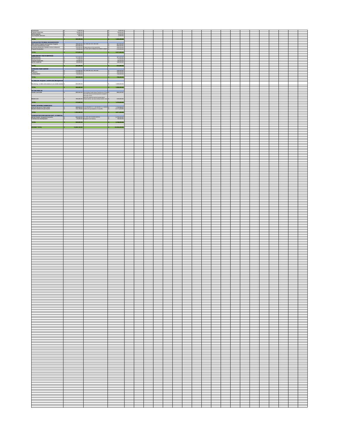| Quickbooks<br>Program Expenses<br>Office Supplies<br>Tax Preparer Services                                                                                                               | $\frac{1,500.00}{18,000.00} \ \frac{2,000.00}{500.00}$                           |                                                                                                                                              | $\frac{4,500.00}{54,000.00} \ \frac{6,000.00}{2,400.00}$                                                                      |  |  |   |  |  |   |  |  |  |  |
|------------------------------------------------------------------------------------------------------------------------------------------------------------------------------------------|----------------------------------------------------------------------------------|----------------------------------------------------------------------------------------------------------------------------------------------|-------------------------------------------------------------------------------------------------------------------------------|--|--|---|--|--|---|--|--|--|--|
|                                                                                                                                                                                          |                                                                                  |                                                                                                                                              |                                                                                                                               |  |  |   |  |  |   |  |  |  |  |
| TOTAL 528,400.00                                                                                                                                                                         |                                                                                  |                                                                                                                                              | 5 1,585,200.00                                                                                                                |  |  |   |  |  |   |  |  |  |  |
| <b>CHARLESTON PROMISE NEIGHBORHOOD</b><br>After School Program and Summer Program<br>Principal Discretionary Funds<br>Prolowing Students In Middle School & Beyond<br>Program Evaluation |                                                                                  |                                                                                                                                              |                                                                                                                               |  |  |   |  |  |   |  |  |  |  |
|                                                                                                                                                                                          |                                                                                  | 189,000.00 Ful Time and Part Time Staff<br>300,000.00 Pusgramming and transportatio<br>90,000.00 Pusgramming and transportatio               | 567,000.00<br>900,000.00<br>900,000.00                                                                                        |  |  |   |  |  |   |  |  |  |  |
|                                                                                                                                                                                          |                                                                                  |                                                                                                                                              |                                                                                                                               |  |  |   |  |  |   |  |  |  |  |
| TOTAL <b>AND INTERNATIONAL</b>                                                                                                                                                           | 679,000.00                                                                       |                                                                                                                                              | $\frac{1}{3}$ 2,037,000.00                                                                                                    |  |  |   |  |  |   |  |  |  |  |
|                                                                                                                                                                                          |                                                                                  |                                                                                                                                              |                                                                                                                               |  |  |   |  |  |   |  |  |  |  |
| LOWCOUNTRY YOUTH SERVICES<br>Staff Expenses<br>Meals/Activities<br>Program Expenses<br>Mentor Stipends                                                                                   | $\begin{array}{r} 127,000.00 \\ 17,000.00 \\ 20,000.00 \\ 60,000.00 \end{array}$ |                                                                                                                                              | $\begin{array}{r} 381,000.00 \\ 51,000.00 \\ 60,000.00 \\ \hline 180,000.00 \end{array}$                                      |  |  |   |  |  |   |  |  |  |  |
| TOTAL <b>AND INTERNATIONAL</b>                                                                                                                                                           | 224,000.00<br><b>S</b>                                                           |                                                                                                                                              | $\frac{1}{3}$ 672,000.00                                                                                                      |  |  |   |  |  |   |  |  |  |  |
|                                                                                                                                                                                          |                                                                                  |                                                                                                                                              |                                                                                                                               |  |  |   |  |  |   |  |  |  |  |
| CAROLINA TEEN CENTER<br>Staff<br>Programs<br>Transportation                                                                                                                              |                                                                                  | 110,000.00 Full Time and Part Time Staff<br>100,000.00<br>50,000.00                                                                          | 00.000.02<br>00.000.000<br>00.000.021                                                                                         |  |  |   |  |  |   |  |  |  |  |
|                                                                                                                                                                                          |                                                                                  |                                                                                                                                              |                                                                                                                               |  |  |   |  |  |   |  |  |  |  |
| TOTAL <b>AND IN THE REAL PROPERTY</b>                                                                                                                                                    | $\frac{1}{260,000.00}$                                                           |                                                                                                                                              | $5 - 750,000.00$                                                                                                              |  |  |   |  |  |   |  |  |  |  |
| E3 (Educate, Empower, and Elevate) Management                                                                                                                                            |                                                                                  |                                                                                                                                              |                                                                                                                               |  |  |   |  |  |   |  |  |  |  |
| Monitoring: 1) listen and assess; 2) co-create solution \$                                                                                                                               | 500,000.00                                                                       |                                                                                                                                              | 1,500,000.00                                                                                                                  |  |  |   |  |  |   |  |  |  |  |
|                                                                                                                                                                                          |                                                                                  |                                                                                                                                              |                                                                                                                               |  |  |   |  |  |   |  |  |  |  |
| <b>FETTER HEALTH </b><br>Health Care Staff                                                                                                                                               | 280,000.00                                                                       |                                                                                                                                              | 840,000.00                                                                                                                    |  |  |   |  |  |   |  |  |  |  |
|                                                                                                                                                                                          |                                                                                  | ine full-time Family Nume Precificner or Physi<br>Ine FTE financial advisors/patient revolgation:                                            |                                                                                                                               |  |  |   |  |  |   |  |  |  |  |
| Mobile Unit                                                                                                                                                                              | 190,000.00                                                                       | bse FTE suress:<br>les FTE customer service representative<br>luly-furnished, two-room medical mobile units / \$                             | 570,000.00                                                                                                                    |  |  |   |  |  |   |  |  |  |  |
| <b>TOTAL</b>                                                                                                                                                                             |                                                                                  | <u>5 470,000.00 1,410,000.00 5 1,410,000.00</u>                                                                                              |                                                                                                                               |  |  |   |  |  |   |  |  |  |  |
|                                                                                                                                                                                          |                                                                                  |                                                                                                                                              |                                                                                                                               |  |  |   |  |  |   |  |  |  |  |
| XFINITY INTERNET ESSENTIALS<br>Internet Service \$1 Tiper month<br>Modern Rental \$14/ per month                                                                                         |                                                                                  | 9 568,656.00 + 368 m/dents x \$11 per mudents x 2 months \$ 1,705,968.00<br>9 723,744.00 + 368 x \$14 per mudent x 12 months \$ 2,171,232.00 |                                                                                                                               |  |  |   |  |  |   |  |  |  |  |
| <b>TOTAL</b>                                                                                                                                                                             |                                                                                  | <b>5</b> 1,292,460.60 5 3,877,200.00                                                                                                         |                                                                                                                               |  |  |   |  |  |   |  |  |  |  |
|                                                                                                                                                                                          |                                                                                  |                                                                                                                                              |                                                                                                                               |  |  |   |  |  |   |  |  |  |  |
| CHARLESTON DORCHESTER DEPT. OF MENTAL<br>Mental Health Therapist (8 schools)<br>Professional Development                                                                                 |                                                                                  | 900,000.00 Full Time Staff includes benefits<br>20,000.00 Equipment and training                                                             | $\begin{array}{ c c c }\n\hline\n\textbf{s} & \textbf{2,700,000.00} \\ \textbf{\$} & \textbf{60,000.00}\n\hline\n\end{array}$ |  |  |   |  |  |   |  |  |  |  |
| TOTAL <b>AND IN THE REAL PROPERTY</b>                                                                                                                                                    |                                                                                  | <b>5</b> 920,000.00 9 3 2,760,000.00                                                                                                         |                                                                                                                               |  |  |   |  |  |   |  |  |  |  |
| <b>BUDGET TOTAL</b>                                                                                                                                                                      | 14,485,150.00                                                                    |                                                                                                                                              | \$ 43,455,450,00                                                                                                              |  |  |   |  |  |   |  |  |  |  |
|                                                                                                                                                                                          |                                                                                  |                                                                                                                                              |                                                                                                                               |  |  |   |  |  |   |  |  |  |  |
|                                                                                                                                                                                          |                                                                                  |                                                                                                                                              |                                                                                                                               |  |  |   |  |  |   |  |  |  |  |
|                                                                                                                                                                                          |                                                                                  |                                                                                                                                              |                                                                                                                               |  |  |   |  |  |   |  |  |  |  |
|                                                                                                                                                                                          |                                                                                  |                                                                                                                                              |                                                                                                                               |  |  |   |  |  |   |  |  |  |  |
|                                                                                                                                                                                          |                                                                                  |                                                                                                                                              |                                                                                                                               |  |  |   |  |  |   |  |  |  |  |
|                                                                                                                                                                                          |                                                                                  |                                                                                                                                              |                                                                                                                               |  |  |   |  |  |   |  |  |  |  |
|                                                                                                                                                                                          |                                                                                  |                                                                                                                                              |                                                                                                                               |  |  |   |  |  |   |  |  |  |  |
|                                                                                                                                                                                          |                                                                                  |                                                                                                                                              |                                                                                                                               |  |  |   |  |  |   |  |  |  |  |
|                                                                                                                                                                                          |                                                                                  |                                                                                                                                              |                                                                                                                               |  |  |   |  |  |   |  |  |  |  |
|                                                                                                                                                                                          |                                                                                  |                                                                                                                                              |                                                                                                                               |  |  |   |  |  |   |  |  |  |  |
|                                                                                                                                                                                          |                                                                                  |                                                                                                                                              |                                                                                                                               |  |  |   |  |  |   |  |  |  |  |
|                                                                                                                                                                                          |                                                                                  |                                                                                                                                              |                                                                                                                               |  |  |   |  |  |   |  |  |  |  |
|                                                                                                                                                                                          |                                                                                  |                                                                                                                                              |                                                                                                                               |  |  |   |  |  |   |  |  |  |  |
|                                                                                                                                                                                          |                                                                                  |                                                                                                                                              |                                                                                                                               |  |  |   |  |  |   |  |  |  |  |
|                                                                                                                                                                                          |                                                                                  |                                                                                                                                              |                                                                                                                               |  |  |   |  |  |   |  |  |  |  |
|                                                                                                                                                                                          |                                                                                  |                                                                                                                                              |                                                                                                                               |  |  |   |  |  |   |  |  |  |  |
|                                                                                                                                                                                          |                                                                                  |                                                                                                                                              |                                                                                                                               |  |  |   |  |  |   |  |  |  |  |
|                                                                                                                                                                                          |                                                                                  |                                                                                                                                              |                                                                                                                               |  |  |   |  |  |   |  |  |  |  |
|                                                                                                                                                                                          |                                                                                  |                                                                                                                                              |                                                                                                                               |  |  |   |  |  |   |  |  |  |  |
|                                                                                                                                                                                          |                                                                                  |                                                                                                                                              |                                                                                                                               |  |  |   |  |  |   |  |  |  |  |
|                                                                                                                                                                                          |                                                                                  |                                                                                                                                              |                                                                                                                               |  |  |   |  |  |   |  |  |  |  |
|                                                                                                                                                                                          |                                                                                  |                                                                                                                                              |                                                                                                                               |  |  |   |  |  |   |  |  |  |  |
|                                                                                                                                                                                          |                                                                                  |                                                                                                                                              |                                                                                                                               |  |  |   |  |  |   |  |  |  |  |
|                                                                                                                                                                                          |                                                                                  |                                                                                                                                              |                                                                                                                               |  |  |   |  |  |   |  |  |  |  |
|                                                                                                                                                                                          |                                                                                  |                                                                                                                                              |                                                                                                                               |  |  |   |  |  |   |  |  |  |  |
|                                                                                                                                                                                          |                                                                                  |                                                                                                                                              |                                                                                                                               |  |  |   |  |  |   |  |  |  |  |
|                                                                                                                                                                                          |                                                                                  |                                                                                                                                              |                                                                                                                               |  |  |   |  |  |   |  |  |  |  |
|                                                                                                                                                                                          |                                                                                  |                                                                                                                                              |                                                                                                                               |  |  |   |  |  |   |  |  |  |  |
|                                                                                                                                                                                          |                                                                                  |                                                                                                                                              |                                                                                                                               |  |  |   |  |  |   |  |  |  |  |
|                                                                                                                                                                                          |                                                                                  |                                                                                                                                              |                                                                                                                               |  |  |   |  |  |   |  |  |  |  |
|                                                                                                                                                                                          |                                                                                  |                                                                                                                                              |                                                                                                                               |  |  |   |  |  |   |  |  |  |  |
|                                                                                                                                                                                          |                                                                                  |                                                                                                                                              |                                                                                                                               |  |  |   |  |  |   |  |  |  |  |
|                                                                                                                                                                                          |                                                                                  |                                                                                                                                              |                                                                                                                               |  |  |   |  |  |   |  |  |  |  |
|                                                                                                                                                                                          |                                                                                  |                                                                                                                                              |                                                                                                                               |  |  |   |  |  |   |  |  |  |  |
|                                                                                                                                                                                          |                                                                                  |                                                                                                                                              |                                                                                                                               |  |  |   |  |  |   |  |  |  |  |
|                                                                                                                                                                                          |                                                                                  |                                                                                                                                              |                                                                                                                               |  |  |   |  |  |   |  |  |  |  |
|                                                                                                                                                                                          |                                                                                  |                                                                                                                                              |                                                                                                                               |  |  |   |  |  |   |  |  |  |  |
|                                                                                                                                                                                          |                                                                                  |                                                                                                                                              |                                                                                                                               |  |  |   |  |  |   |  |  |  |  |
|                                                                                                                                                                                          |                                                                                  |                                                                                                                                              |                                                                                                                               |  |  |   |  |  |   |  |  |  |  |
|                                                                                                                                                                                          |                                                                                  |                                                                                                                                              |                                                                                                                               |  |  |   |  |  |   |  |  |  |  |
|                                                                                                                                                                                          |                                                                                  |                                                                                                                                              |                                                                                                                               |  |  |   |  |  |   |  |  |  |  |
|                                                                                                                                                                                          |                                                                                  |                                                                                                                                              |                                                                                                                               |  |  |   |  |  |   |  |  |  |  |
|                                                                                                                                                                                          |                                                                                  |                                                                                                                                              |                                                                                                                               |  |  |   |  |  |   |  |  |  |  |
|                                                                                                                                                                                          |                                                                                  |                                                                                                                                              |                                                                                                                               |  |  |   |  |  |   |  |  |  |  |
|                                                                                                                                                                                          |                                                                                  |                                                                                                                                              |                                                                                                                               |  |  |   |  |  |   |  |  |  |  |
|                                                                                                                                                                                          |                                                                                  |                                                                                                                                              |                                                                                                                               |  |  |   |  |  |   |  |  |  |  |
|                                                                                                                                                                                          |                                                                                  |                                                                                                                                              |                                                                                                                               |  |  |   |  |  |   |  |  |  |  |
|                                                                                                                                                                                          |                                                                                  |                                                                                                                                              |                                                                                                                               |  |  |   |  |  |   |  |  |  |  |
|                                                                                                                                                                                          |                                                                                  |                                                                                                                                              |                                                                                                                               |  |  |   |  |  |   |  |  |  |  |
|                                                                                                                                                                                          |                                                                                  |                                                                                                                                              |                                                                                                                               |  |  |   |  |  |   |  |  |  |  |
|                                                                                                                                                                                          |                                                                                  |                                                                                                                                              |                                                                                                                               |  |  |   |  |  |   |  |  |  |  |
|                                                                                                                                                                                          |                                                                                  |                                                                                                                                              |                                                                                                                               |  |  |   |  |  |   |  |  |  |  |
|                                                                                                                                                                                          |                                                                                  |                                                                                                                                              |                                                                                                                               |  |  |   |  |  |   |  |  |  |  |
|                                                                                                                                                                                          |                                                                                  |                                                                                                                                              |                                                                                                                               |  |  |   |  |  |   |  |  |  |  |
|                                                                                                                                                                                          |                                                                                  |                                                                                                                                              |                                                                                                                               |  |  |   |  |  |   |  |  |  |  |
|                                                                                                                                                                                          |                                                                                  |                                                                                                                                              |                                                                                                                               |  |  |   |  |  |   |  |  |  |  |
|                                                                                                                                                                                          |                                                                                  |                                                                                                                                              |                                                                                                                               |  |  |   |  |  |   |  |  |  |  |
|                                                                                                                                                                                          |                                                                                  |                                                                                                                                              |                                                                                                                               |  |  |   |  |  |   |  |  |  |  |
|                                                                                                                                                                                          |                                                                                  |                                                                                                                                              |                                                                                                                               |  |  |   |  |  |   |  |  |  |  |
|                                                                                                                                                                                          |                                                                                  |                                                                                                                                              |                                                                                                                               |  |  |   |  |  |   |  |  |  |  |
|                                                                                                                                                                                          |                                                                                  |                                                                                                                                              |                                                                                                                               |  |  |   |  |  |   |  |  |  |  |
|                                                                                                                                                                                          |                                                                                  |                                                                                                                                              |                                                                                                                               |  |  |   |  |  |   |  |  |  |  |
|                                                                                                                                                                                          |                                                                                  |                                                                                                                                              |                                                                                                                               |  |  |   |  |  |   |  |  |  |  |
|                                                                                                                                                                                          |                                                                                  |                                                                                                                                              |                                                                                                                               |  |  |   |  |  |   |  |  |  |  |
|                                                                                                                                                                                          |                                                                                  |                                                                                                                                              |                                                                                                                               |  |  |   |  |  |   |  |  |  |  |
|                                                                                                                                                                                          |                                                                                  |                                                                                                                                              |                                                                                                                               |  |  |   |  |  |   |  |  |  |  |
|                                                                                                                                                                                          |                                                                                  |                                                                                                                                              |                                                                                                                               |  |  |   |  |  |   |  |  |  |  |
|                                                                                                                                                                                          |                                                                                  |                                                                                                                                              |                                                                                                                               |  |  |   |  |  |   |  |  |  |  |
|                                                                                                                                                                                          |                                                                                  |                                                                                                                                              |                                                                                                                               |  |  |   |  |  |   |  |  |  |  |
|                                                                                                                                                                                          |                                                                                  |                                                                                                                                              |                                                                                                                               |  |  |   |  |  |   |  |  |  |  |
|                                                                                                                                                                                          |                                                                                  |                                                                                                                                              |                                                                                                                               |  |  |   |  |  |   |  |  |  |  |
|                                                                                                                                                                                          |                                                                                  |                                                                                                                                              |                                                                                                                               |  |  |   |  |  |   |  |  |  |  |
|                                                                                                                                                                                          |                                                                                  |                                                                                                                                              |                                                                                                                               |  |  |   |  |  |   |  |  |  |  |
|                                                                                                                                                                                          |                                                                                  |                                                                                                                                              |                                                                                                                               |  |  |   |  |  |   |  |  |  |  |
|                                                                                                                                                                                          |                                                                                  |                                                                                                                                              |                                                                                                                               |  |  |   |  |  |   |  |  |  |  |
|                                                                                                                                                                                          |                                                                                  |                                                                                                                                              |                                                                                                                               |  |  |   |  |  |   |  |  |  |  |
|                                                                                                                                                                                          |                                                                                  |                                                                                                                                              |                                                                                                                               |  |  |   |  |  |   |  |  |  |  |
|                                                                                                                                                                                          |                                                                                  |                                                                                                                                              |                                                                                                                               |  |  |   |  |  |   |  |  |  |  |
|                                                                                                                                                                                          |                                                                                  |                                                                                                                                              |                                                                                                                               |  |  |   |  |  |   |  |  |  |  |
|                                                                                                                                                                                          |                                                                                  |                                                                                                                                              |                                                                                                                               |  |  |   |  |  |   |  |  |  |  |
|                                                                                                                                                                                          |                                                                                  |                                                                                                                                              |                                                                                                                               |  |  |   |  |  | O |  |  |  |  |
|                                                                                                                                                                                          |                                                                                  |                                                                                                                                              |                                                                                                                               |  |  | Ŧ |  |  |   |  |  |  |  |
|                                                                                                                                                                                          |                                                                                  |                                                                                                                                              |                                                                                                                               |  |  |   |  |  |   |  |  |  |  |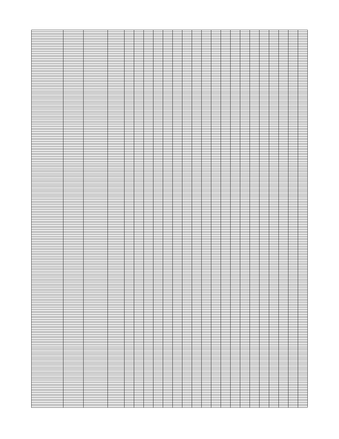|  |  | 主 |  | $\frac{1}{1}$ | 丰 | T | $\overline{\phantom{a}}$<br>— F | $\overline{\phantom{a}}$ | 聿 |  | <u>e a s</u> | Ŧ |  |  | —<br>ПЕПР |
|--|--|---|--|---------------|---|---|---------------------------------|--------------------------|---|--|--------------|---|--|--|-----------|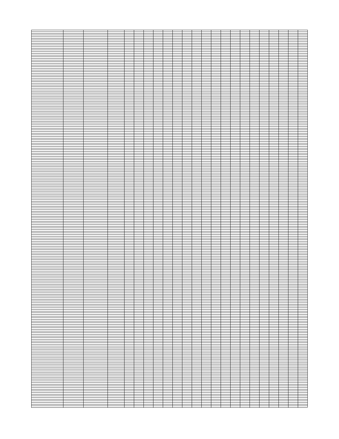|  |  | 主 |  | $\frac{1}{1}$ | 丰 | T | $\overline{\phantom{a}}$<br>— F | $\overline{\phantom{a}}$ | 聿 |  | <u>e a s</u> | Ŧ |  |  | —<br>ПЕПР |
|--|--|---|--|---------------|---|---|---------------------------------|--------------------------|---|--|--------------|---|--|--|-----------|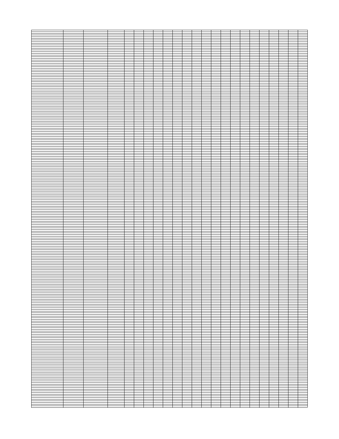|  |  | 主 |  | $\frac{1}{1}$ | 丰 | T | $\overline{\phantom{a}}$<br>— F | $\overline{\phantom{a}}$ | 聿 |  | <u>e a s</u> | Ŧ |  |  | —<br>ПЕПР |
|--|--|---|--|---------------|---|---|---------------------------------|--------------------------|---|--|--------------|---|--|--|-----------|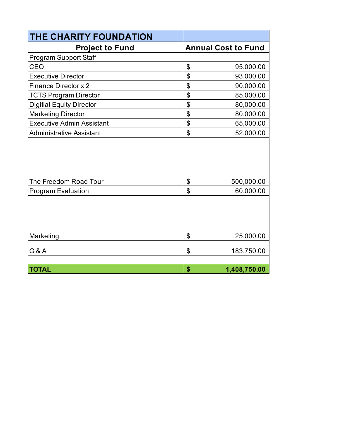| THE CHARITY FOUNDATION           |                            |
|----------------------------------|----------------------------|
| <b>Project to Fund</b>           | <b>Annual Cost to Fund</b> |
| <b>Program Support Staff</b>     |                            |
| CEO                              | \$<br>95,000.00            |
| <b>Executive Director</b>        | \$<br>93,000.00            |
| Finance Director x 2             | \$<br>90,000.00            |
| <b>TCTS Program Director</b>     | \$<br>85,000.00            |
| <b>Digitial Equity Director</b>  | \$<br>80,000.00            |
| <b>Marketing Director</b>        | \$<br>80,000.00            |
| <b>Executive Admin Assistant</b> | \$<br>65,000.00            |
| <b>Administrative Assistant</b>  | \$<br>52,000.00            |
| The Freedom Road Tour            | \$<br>500,000.00           |
| <b>Program Evaluation</b>        | \$<br>60,000.00            |
|                                  | \$                         |
| Marketing                        | 25,000.00                  |
| G & A                            | \$<br>183,750.00           |
|                                  |                            |
| <b>TOTAL</b>                     | \$<br>1,408,750.00         |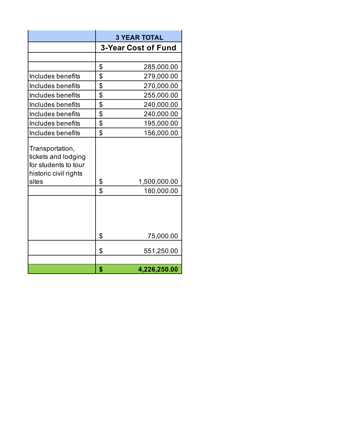|                                                                                         | <b>3 YEAR TOTAL</b>        |
|-----------------------------------------------------------------------------------------|----------------------------|
|                                                                                         | <b>3-Year Cost of Fund</b> |
|                                                                                         |                            |
|                                                                                         | \$<br>285,000.00           |
| Includes benefits                                                                       | \$<br>279,000.00           |
| Includes benefits                                                                       | \$<br>270,000.00           |
| Includes benefits                                                                       | \$<br>255,000.00           |
| Includes benefits                                                                       | \$<br>240,000.00           |
| Includes benefits                                                                       | \$<br>240,000.00           |
| Includes benefits                                                                       | \$<br>195,000.00           |
| Includes benefits                                                                       | \$<br>156,000.00           |
| Transportation,<br>tickets and lodging<br>for students to tour<br>historic civil rights |                            |
| sites                                                                                   | \$<br>1,500,000.00         |
|                                                                                         | \$<br>180,000.00           |
|                                                                                         |                            |
|                                                                                         | \$<br>75,000.00            |
|                                                                                         | \$<br>551,250.00           |
|                                                                                         | \$<br>4,226,250.00         |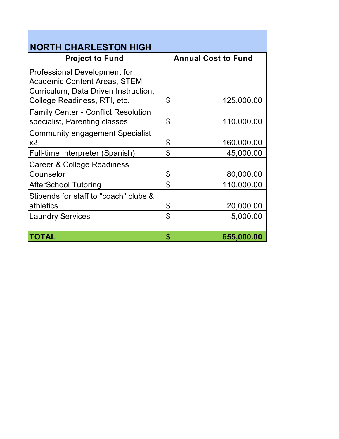| <b>NORTH CHARLESTON HIGH</b>                                                                                                                |                            |
|---------------------------------------------------------------------------------------------------------------------------------------------|----------------------------|
| <b>Project to Fund</b>                                                                                                                      | <b>Annual Cost to Fund</b> |
| Professional Development for<br><b>Academic Content Areas, STEM</b><br>Curriculum, Data Driven Instruction,<br>College Readiness, RTI, etc. | \$<br>125,000.00           |
| <b>Family Center - Conflict Resolution</b><br>specialist, Parenting classes                                                                 | \$<br>110,000.00           |
| <b>Community engagement Specialist</b><br>x2                                                                                                | \$<br>160,000.00           |
| <b>Full-time Interpreter (Spanish)</b>                                                                                                      | \$<br>45,000.00            |
| Career & College Readiness<br>Counselor                                                                                                     | \$<br>80,000.00            |
| <b>AfterSchool Tutoring</b>                                                                                                                 | \$<br>110,000.00           |
| Stipends for staff to "coach" clubs &<br>athletics                                                                                          | \$<br>20,000.00            |
| <b>Laundry Services</b>                                                                                                                     | \$<br>5,000.00             |
|                                                                                                                                             |                            |
| <b>TOTAL</b>                                                                                                                                | \$<br>655,000.00           |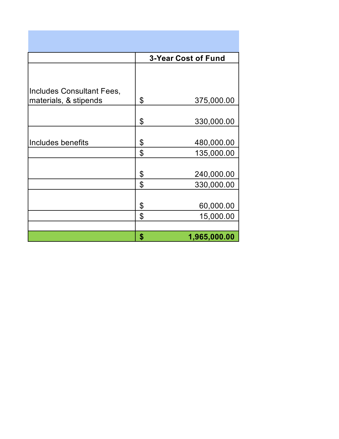|                           | <b>3-Year Cost of Fund</b> |
|---------------------------|----------------------------|
|                           |                            |
|                           |                            |
| Includes Consultant Fees, |                            |
| materials, & stipends     | \$<br>375,000.00           |
|                           |                            |
|                           | \$<br>330,000.00           |
|                           |                            |
| Includes benefits         | \$<br>480,000.00           |
|                           | \$<br>135,000.00           |
|                           |                            |
|                           | \$<br>240,000.00           |
|                           | \$<br>330,000.00           |
|                           |                            |
|                           | \$<br>60,000.00            |
|                           | \$<br>15,000.00            |
|                           |                            |
|                           | \$<br>1,965,000.00         |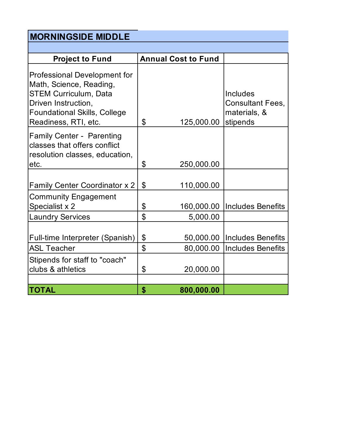| <b>MORNINGSIDE MIDDLE</b> |
|---------------------------|
|---------------------------|

| <b>Project to Fund</b>                                                                                                                                                               |          | <b>Annual Cost to Fund</b> |                                                                        |
|--------------------------------------------------------------------------------------------------------------------------------------------------------------------------------------|----------|----------------------------|------------------------------------------------------------------------|
| <b>Professional Development for</b><br>Math, Science, Reading,<br><b>STEM Curriculum, Data</b><br>Driven Instruction,<br><b>Foundational Skills, College</b><br>Readiness, RTI, etc. | \$       | 125,000.00                 | <b>Includes</b><br><b>Consultant Fees,</b><br>materials, &<br>stipends |
| <b>Family Center - Parenting</b><br>classes that offers conflict<br>resolution classes, education,<br>etc.                                                                           | \$       | 250,000.00                 |                                                                        |
| <b>Family Center Coordinator x 2</b>                                                                                                                                                 | \$       | 110,000.00                 |                                                                        |
| <b>Community Engagement</b><br>Specialist x 2                                                                                                                                        | \$       | 160,000.00                 | <b>Includes Benefits</b>                                               |
| <b>Laundry Services</b>                                                                                                                                                              | \$       | 5,000.00                   |                                                                        |
| Full-time Interpreter (Spanish)<br><b>ASL Teacher</b>                                                                                                                                | \$<br>\$ | 50,000.00<br>80,000.00     | <b>Includes Benefits</b><br><b>Includes Benefits</b>                   |
| Stipends for staff to "coach"<br>clubs & athletics                                                                                                                                   | \$       | 20,000.00                  |                                                                        |
| <b>TOTAL</b>                                                                                                                                                                         | \$       | 800,000.00                 |                                                                        |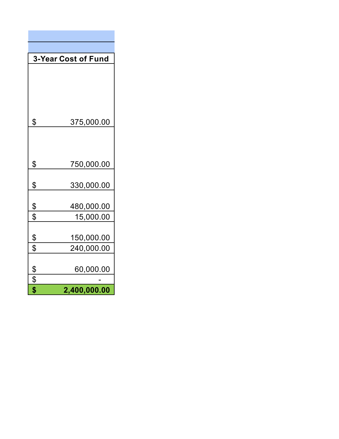| 3-Year Cost of Fund |
|---------------------|
|                     |
|                     |
|                     |
|                     |
|                     |
| \$<br>375,000.00    |
|                     |
|                     |
|                     |
| \$<br>750,000.00    |
|                     |
| \$<br>330,000.00    |
|                     |
| \$<br>480,000.00    |
| \$                  |
| 15,000.00           |
|                     |
| \$<br>150,000.00    |
| \$<br>240,000.00    |
|                     |
| \$<br>60,000.00     |
| \$                  |
| \$<br>2,400,000.00  |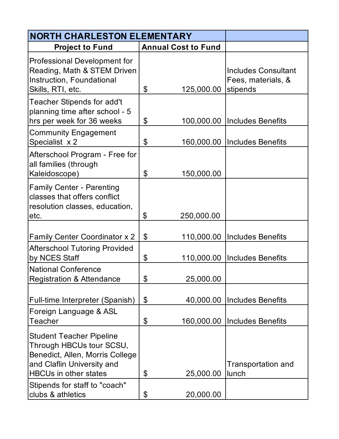| <b>NORTH CHARLESTON ELEMENTARY</b>                                                                                                                           |                            |                                                              |
|--------------------------------------------------------------------------------------------------------------------------------------------------------------|----------------------------|--------------------------------------------------------------|
| <b>Project to Fund</b>                                                                                                                                       | <b>Annual Cost to Fund</b> |                                                              |
| Professional Development for<br>Reading, Math & STEM Driven<br>Instruction, Foundational<br>Skills, RTI, etc.                                                | \$<br>125,000.00           | <b>Includes Consultant</b><br>Fees, materials, &<br>stipends |
| <b>Teacher Stipends for add't</b><br>planning time after school - 5<br>hrs per week for 36 weeks                                                             | \$<br>100,000.00           | Includes Benefits                                            |
| <b>Community Engagement</b><br>Specialist x 2                                                                                                                | \$<br>160,000.00           | Includes Benefits                                            |
| Afterschool Program - Free for<br>all families (through<br>Kaleidoscope)                                                                                     | \$<br>150,000.00           |                                                              |
| <b>Family Center - Parenting</b><br>classes that offers conflict<br>resolution classes, education,<br>etc.                                                   | \$<br>250,000.00           |                                                              |
| <b>Family Center Coordinator x 2</b>                                                                                                                         | \$<br>110,000.00           | Includes Benefits                                            |
| <b>Afterschool Tutoring Provided</b><br>by NCES Staff                                                                                                        | \$<br>110,000.00           | Includes Benefits                                            |
| <b>National Conference</b><br><b>Registration &amp; Attendance</b>                                                                                           | \$<br>25,000.00            |                                                              |
| Full-time Interpreter (Spanish)                                                                                                                              | \$<br>40,000.00            | <b>Includes Benefits</b>                                     |
| Foreign Language & ASL<br>Teacher                                                                                                                            | \$<br>160,000.00           | <b>Includes Benefits</b>                                     |
| <b>Student Teacher Pipeline</b><br>Through HBCUs tour SCSU,<br>Benedict, Allen, Morris College<br>and Claflin University and<br><b>HBCUs in other states</b> | \$<br>25,000.00            | Transportation and<br>lunch                                  |
| Stipends for staff to "coach"<br>clubs & athletics                                                                                                           | \$<br>20,000.00            |                                                              |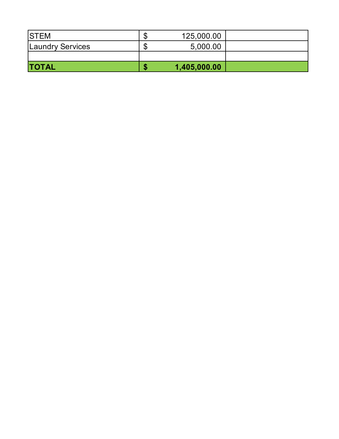| <b>STEM</b>             |    | 125,000.00   |  |
|-------------------------|----|--------------|--|
| <b>Laundry Services</b> | ۰D | 5,000.00     |  |
| <b>TOTAL</b>            |    | 1,405,000.00 |  |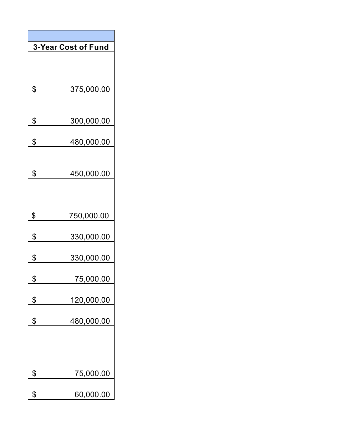| 3-Year Cost of Fund |
|---------------------|
|                     |
|                     |
| \$<br>375,000.00    |
|                     |
|                     |
| \$<br>300,000.00    |
|                     |
| \$<br>480,000.00    |
|                     |
| \$<br>450,000.00    |
|                     |
|                     |
| \$<br>750,000.00    |
|                     |
| \$<br>330,000.00    |
|                     |
| \$<br>330,000.00    |
| \$                  |
| 75,000.00           |
| \$<br>120,000.00    |
|                     |
| \$<br>480,000.00    |
|                     |
|                     |
|                     |
| \$<br>75,000.00     |
|                     |
| \$<br>60,000.00     |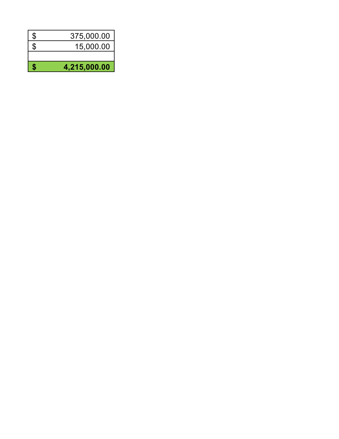| 375,000.00   |
|--------------|
| 15,000.00    |
|              |
| 4,215,000.00 |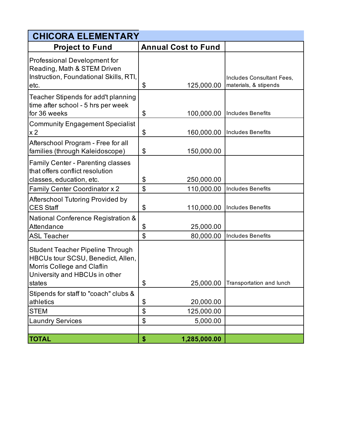| <b>CHICORA ELEMENTARY</b>                                                                                                                             |    |                            |                                                    |
|-------------------------------------------------------------------------------------------------------------------------------------------------------|----|----------------------------|----------------------------------------------------|
| <b>Project to Fund</b>                                                                                                                                |    | <b>Annual Cost to Fund</b> |                                                    |
| Professional Development for<br>Reading, Math & STEM Driven<br>Instruction, Foundational Skills, RTI,<br>etc.                                         | \$ | 125,000.00                 | Includes Consultant Fees,<br>materials, & stipends |
| Teacher Stipends for add't planning<br>time after school - 5 hrs per week<br>for 36 weeks                                                             | \$ | 100,000.00                 | Includes Benefits                                  |
| <b>Community Engagement Specialist</b><br>x <sub>2</sub>                                                                                              | \$ | 160,000.00                 | Includes Benefits                                  |
| Afterschool Program - Free for all<br>families (through Kaleidoscope)                                                                                 | \$ | 150,000.00                 |                                                    |
| <b>Family Center - Parenting classes</b><br>that offers conflict resolution<br>classes, education, etc.                                               | \$ | 250,000.00                 |                                                    |
| Family Center Coordinator x 2                                                                                                                         | \$ | 110,000.00                 | <b>Includes Benefits</b>                           |
| <b>Afterschool Tutoring Provided by</b><br><b>CES Staff</b>                                                                                           | \$ | 110,000.00                 | Includes Benefits                                  |
| National Conference Registration &<br>Attendance                                                                                                      | \$ | 25,000.00                  |                                                    |
| <b>ASL Teacher</b>                                                                                                                                    | \$ | 80,000.00                  | <b>Includes Benefits</b>                           |
| <b>Student Teacher Pipeline Through</b><br>HBCUs tour SCSU, Benedict, Allen,<br>Morris College and Claflin<br>University and HBCUs in other<br>states | \$ | 25,000.00                  | Transportation and lunch                           |
| Stipends for staff to "coach" clubs &                                                                                                                 |    |                            |                                                    |
| athletics                                                                                                                                             | \$ | 20,000.00                  |                                                    |
| <b>STEM</b>                                                                                                                                           | \$ | 125,000.00                 |                                                    |
| <b>Laundry Services</b>                                                                                                                               | \$ | 5,000.00                   |                                                    |
| <b>TOTAL</b>                                                                                                                                          | \$ | 1,285,000.00               |                                                    |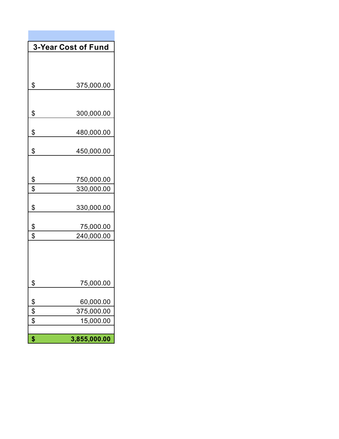| 3-Year Cost of Fund |              |  |
|---------------------|--------------|--|
|                     |              |  |
|                     |              |  |
| \$                  |              |  |
|                     | 375,000.00   |  |
|                     |              |  |
| \$                  | 300,000.00   |  |
|                     |              |  |
| \$                  | 480,000.00   |  |
|                     |              |  |
| \$                  | 450,000.00   |  |
|                     |              |  |
| \$                  | 750,000.00   |  |
| \$                  | 330,000.00   |  |
|                     |              |  |
| \$                  | 330,000.00   |  |
| \$                  | 75,000.00    |  |
| \$                  | 240,000.00   |  |
|                     |              |  |
|                     |              |  |
|                     |              |  |
|                     |              |  |
| \$                  | 75,000.00    |  |
| \$                  | 60,000.00    |  |
| \$                  | 375,000.00   |  |
| \$                  | 15,000.00    |  |
|                     |              |  |
| \$                  | 3,855,000.00 |  |

the control of the control of the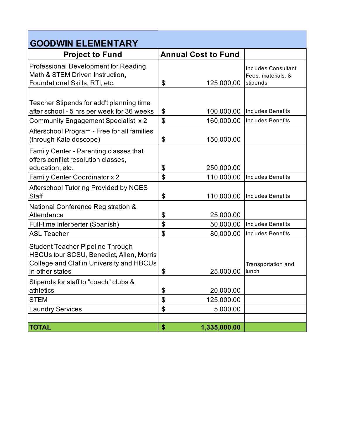| <b>GOODWIN ELEMENTARY</b>                                                                                                                                 |                            |                                                              |
|-----------------------------------------------------------------------------------------------------------------------------------------------------------|----------------------------|--------------------------------------------------------------|
| <b>Project to Fund</b>                                                                                                                                    | <b>Annual Cost to Fund</b> |                                                              |
| Professional Development for Reading,<br>Math & STEM Driven Instruction,<br>Foundational Skills, RTI, etc.                                                | \$<br>125,000.00           | <b>Includes Consultant</b><br>Fees, materials, &<br>stipends |
| Teacher Stipends for add't planning time<br>after school - 5 hrs per week for 36 weeks                                                                    | 100,000.00<br>\$           | <b>Includes Benefits</b>                                     |
| <b>Community Engagement Specialist x 2</b>                                                                                                                | \$<br>160,000.00           | <b>Includes Benefits</b>                                     |
| Afterschool Program - Free for all families<br>(through Kaleidoscope)                                                                                     | \$<br>150,000.00           |                                                              |
| Family Center - Parenting classes that<br>offers conflict resolution classes,<br>education, etc.                                                          | \$<br>250,000.00           |                                                              |
| <b>Family Center Coordinator x 2</b>                                                                                                                      | \$<br>110,000.00           | <b>Includes Benefits</b>                                     |
| Afterschool Tutoring Provided by NCES<br>Staff                                                                                                            | \$<br>110,000.00           | <b>Includes Benefits</b>                                     |
| National Conference Registration &<br>Attendance                                                                                                          | \$<br>25,000.00            |                                                              |
| Full-time Interperter (Spanish)                                                                                                                           | \$<br>50,000.00            | <b>Includes Benefits</b>                                     |
| <b>ASL Teacher</b>                                                                                                                                        | \$<br>80,000.00            | <b>Includes Benefits</b>                                     |
| <b>Student Teacher Pipeline Through</b><br><b>HBCUs tour SCSU, Benedict, Allen, Morris</b><br>College and Claflin University and HBCUs<br>in other states | 25,000.00<br>\$            | Transportation and<br>lunch                                  |
| Stipends for staff to "coach" clubs &<br>athletics                                                                                                        | \$<br>20,000.00            |                                                              |
| <b>STEM</b>                                                                                                                                               | \$<br>125,000.00           |                                                              |
| <b>Laundry Services</b>                                                                                                                                   | \$<br>5,000.00             |                                                              |
|                                                                                                                                                           |                            |                                                              |
| <b>TOTAL</b>                                                                                                                                              | \$<br>1,335,000.00         |                                                              |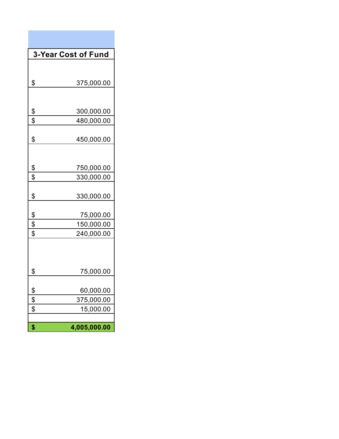| 3-Year Cost of Fund |              |  |
|---------------------|--------------|--|
|                     |              |  |
|                     |              |  |
| \$                  | 375,000.00   |  |
|                     |              |  |
|                     |              |  |
| \$                  | 300,000.00   |  |
| \$                  | 480,000.00   |  |
|                     |              |  |
| \$                  | 450,000.00   |  |
|                     |              |  |
|                     |              |  |
| \$<br>\$            | 750,000.00   |  |
|                     | 330,000.00   |  |
| \$                  | 330,000.00   |  |
|                     |              |  |
| \$                  | 75,000.00    |  |
| $\frac{1}{2}$       | 150,000.00   |  |
| \$                  | 240,000.00   |  |
|                     |              |  |
|                     |              |  |
|                     |              |  |
| \$                  | 75,000.00    |  |
|                     |              |  |
| \$                  | 60,000.00    |  |
| \$                  | 375,000.00   |  |
| \$                  | 15,000.00    |  |
|                     |              |  |
| \$                  | 4,005,000.00 |  |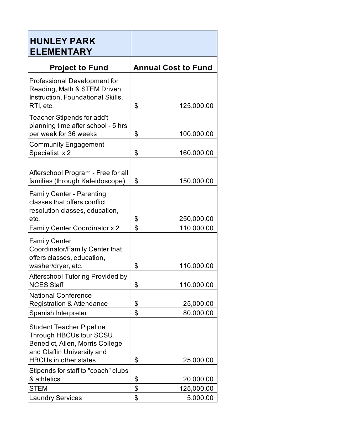| <b>HUNLEY PARK</b><br><b>ELEMENTARY</b>                                                                                      |                                     |
|------------------------------------------------------------------------------------------------------------------------------|-------------------------------------|
| <b>Project to Fund</b>                                                                                                       | <b>Annual Cost to Fund</b>          |
| Professional Development for<br>Reading, Math & STEM Driven<br>Instruction, Foundational Skills,<br>RTI, etc.                | \$<br>125,000.00                    |
| <b>Teacher Stipends for add't</b><br>planning time after school - 5 hrs<br>per week for 36 weeks                             | \$<br>100,000.00                    |
| <b>Community Engagement</b><br>Specialist x 2                                                                                | \$<br>160,000.00                    |
| Afterschool Program - Free for all<br>families (through Kaleidoscope)                                                        | \$<br>150,000.00                    |
| <b>Family Center - Parenting</b><br>classes that offers conflict<br>resolution classes, education,<br>etc.                   | \$<br>250,000.00                    |
| Family Center Coordinator x 2                                                                                                | \$<br>110,000.00                    |
| <b>Family Center</b><br>Coordinator/Family Center that<br>offers classes, education,<br>washer/dryer, etc.                   | \$<br>110,000.00                    |
| Afterschool Tutoring Provided by<br><b>NCES Staff</b>                                                                        | \$<br>110,000.00                    |
| <b>National Conference</b><br><b>Registration &amp; Attendance</b><br>Spanish Interpreter                                    | \$<br>25,000.00<br>\$<br>80,000.00  |
| <b>Student Teacher Pipeline</b><br>Through HBCUs tour SCSU,<br>Benedict, Allen, Morris College<br>and Claflin University and |                                     |
| <b>HBCUs in other states</b>                                                                                                 | \$<br>25,000.00                     |
| Stipends for staff to "coach" clubs<br>& athletics<br><b>STEM</b>                                                            | \$<br>20,000.00<br>\$<br>125,000.00 |
| <b>Laundry Services</b>                                                                                                      | \$<br>5,000.00                      |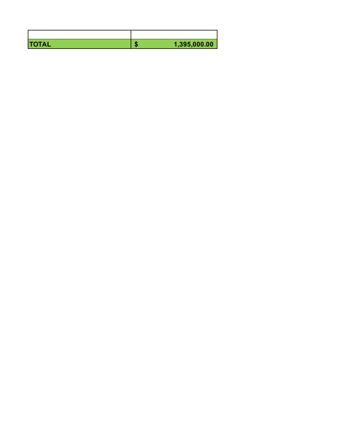| <b>TOTAL</b> | o۵ | 1,395,000.00 |
|--------------|----|--------------|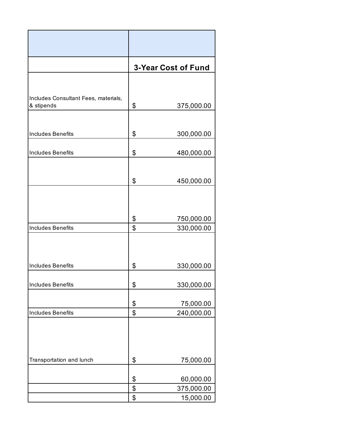|                                                    | 3-Year Cost of Fund                            |
|----------------------------------------------------|------------------------------------------------|
|                                                    |                                                |
| Includes Consultant Fees, materials,<br>& stipends | \$<br>375,000.00                               |
| <b>Includes Benefits</b>                           | \$<br>300,000.00                               |
| <b>Includes Benefits</b>                           | \$<br>480,000.00                               |
|                                                    | \$<br>450,000.00                               |
|                                                    | \$<br>750,000.00                               |
| <b>Includes Benefits</b>                           | \$<br>330,000.00                               |
| <b>Includes Benefits</b>                           | \$<br>330,000.00                               |
| <b>Includes Benefits</b>                           | \$<br>330,000.00                               |
| <b>Includes Benefits</b>                           | \$<br>75,000.00<br>\$<br>240,000.00            |
|                                                    |                                                |
| Transportation and lunch                           | \$<br>75,000.00                                |
|                                                    | $\frac{1}{2}$<br>60,000.00                     |
|                                                    | $\frac{1}{2}$<br>375,000.00<br>\$<br>15,000.00 |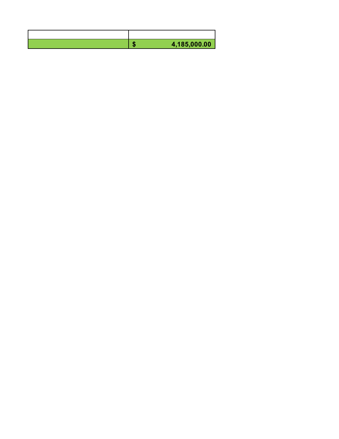|  | 4,185,000.00 |
|--|--------------|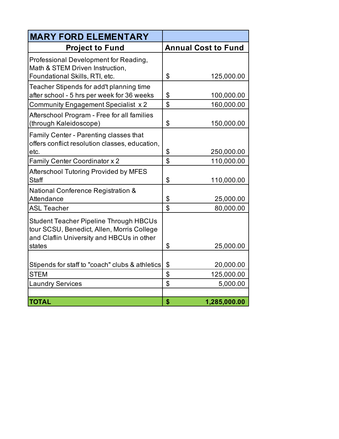| <b>MARY FORD ELEMENTARY</b>                                                                                                              |                            |
|------------------------------------------------------------------------------------------------------------------------------------------|----------------------------|
| <b>Project to Fund</b>                                                                                                                   | <b>Annual Cost to Fund</b> |
| Professional Development for Reading,<br>Math & STEM Driven Instruction,<br>Foundational Skills, RTI, etc.                               | \$<br>125,000.00           |
| Teacher Stipends for add't planning time<br>after school - 5 hrs per week for 36 weeks                                                   | \$<br>100,000.00           |
| <b>Community Engagement Specialist x 2</b>                                                                                               | \$<br>160,000.00           |
| Afterschool Program - Free for all families<br>(through Kaleidoscope)                                                                    | \$<br>150,000.00           |
| Family Center - Parenting classes that<br>offers conflict resolution classes, education,<br>etc.                                         | \$<br>250,000.00           |
| Family Center Coordinator x 2                                                                                                            | \$<br>110,000.00           |
| Afterschool Tutoring Provided by MFES<br><b>Staff</b>                                                                                    | 110,000.00<br>\$           |
| National Conference Registration &<br>Attendance                                                                                         | \$<br>25,000.00            |
| <b>ASL Teacher</b>                                                                                                                       | \$<br>80,000.00            |
| <b>Student Teacher Pipeline Through HBCUs</b><br>tour SCSU, Benedict, Allen, Morris College<br>and Claflin University and HBCUs in other |                            |
| states                                                                                                                                   | \$<br>25,000.00            |
| Stipends for staff to "coach" clubs & athletics                                                                                          | \$<br>20,000.00            |
| <b>STEM</b>                                                                                                                              | \$<br>125,000.00           |
| <b>Laundry Services</b>                                                                                                                  | \$<br>5,000.00             |
| <b>TOTAL</b>                                                                                                                             | \$<br>1,285,000.00         |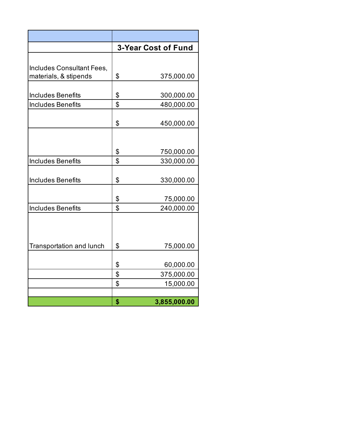|                                 | <b>3-Year Cost of Fund</b> |
|---------------------------------|----------------------------|
|                                 |                            |
| Includes Consultant Fees,       |                            |
| materials, & stipends           | \$<br>375,000.00           |
|                                 |                            |
| <b>Includes Benefits</b>        | \$<br>300,000.00           |
| <b>Includes Benefits</b>        | \$<br>480,000.00           |
|                                 |                            |
|                                 | \$<br>450,000.00           |
|                                 |                            |
|                                 | \$<br>750,000.00           |
| <b>Includes Benefits</b>        | \$<br>330,000.00           |
|                                 |                            |
| <b>Includes Benefits</b>        | \$<br>330,000.00           |
|                                 |                            |
|                                 | \$<br>75,000.00            |
| <b>Includes Benefits</b>        | \$<br>240,000.00           |
|                                 |                            |
|                                 |                            |
|                                 |                            |
| <b>Transportation and lunch</b> | \$<br>75,000.00            |
|                                 |                            |
|                                 | \$<br>60,000.00            |
|                                 | \$<br>375,000.00           |
|                                 | \$<br>15,000.00            |
|                                 |                            |
|                                 | \$<br>3,855,000.00         |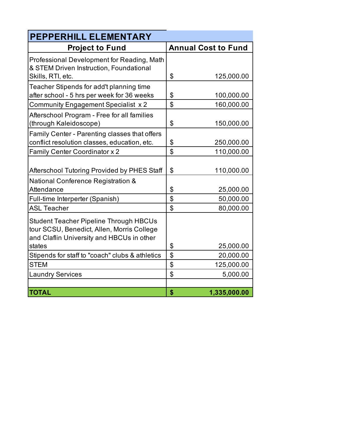| PEPPERHILL ELEMENTARY                                                                                                                    |                            |  |  |
|------------------------------------------------------------------------------------------------------------------------------------------|----------------------------|--|--|
| <b>Project to Fund</b>                                                                                                                   | <b>Annual Cost to Fund</b> |  |  |
| Professional Development for Reading, Math<br>& STEM Driven Instruction, Foundational<br>Skills, RTI, etc.                               | \$<br>125,000.00           |  |  |
| Teacher Stipends for add't planning time<br>after school - 5 hrs per week for 36 weeks                                                   | \$<br>100,000.00           |  |  |
| <b>Community Engagement Specialist x 2</b>                                                                                               | \$<br>160,000.00           |  |  |
| Afterschool Program - Free for all families<br>(through Kaleidoscope)                                                                    | \$<br>150,000.00           |  |  |
| Family Center - Parenting classes that offers<br>conflict resolution classes, education, etc.                                            | \$<br>250,000.00           |  |  |
| Family Center Coordinator x 2                                                                                                            | \$<br>110,000.00           |  |  |
| Afterschool Tutoring Provided by PHES Staff                                                                                              | \$<br>110,000.00           |  |  |
| National Conference Registration &<br>Attendance                                                                                         | \$<br>25,000.00            |  |  |
| Full-time Interperter (Spanish)                                                                                                          | \$<br>50,000.00            |  |  |
| <b>ASL Teacher</b>                                                                                                                       | \$<br>80,000.00            |  |  |
| <b>Student Teacher Pipeline Through HBCUs</b><br>tour SCSU, Benedict, Allen, Morris College<br>and Claflin University and HBCUs in other |                            |  |  |
| states                                                                                                                                   | \$<br>25,000.00            |  |  |
| Stipends for staff to "coach" clubs & athletics                                                                                          | \$<br>20,000.00            |  |  |
| <b>STEM</b>                                                                                                                              | \$<br>125,000.00           |  |  |
| <b>Laundry Services</b>                                                                                                                  | \$<br>5,000.00             |  |  |
| <b>TOTAL</b>                                                                                                                             | \$                         |  |  |
|                                                                                                                                          | 1,335,000.00               |  |  |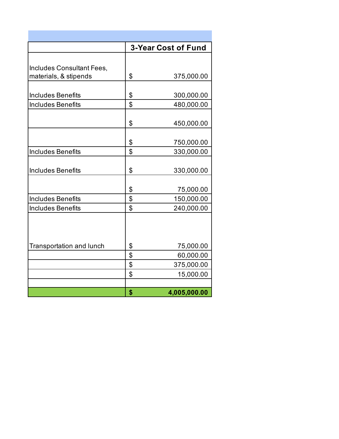|                           | <b>3-Year Cost of Fund</b> |
|---------------------------|----------------------------|
|                           |                            |
| Includes Consultant Fees, |                            |
| materials, & stipends     | \$<br>375,000.00           |
|                           |                            |
| <b>Includes Benefits</b>  | \$<br>300,000.00           |
| <b>Includes Benefits</b>  | \$<br>480,000.00           |
|                           |                            |
|                           | \$<br>450,000.00           |
|                           |                            |
|                           | \$<br>750,000.00           |
| <b>Includes Benefits</b>  | \$<br>330,000.00           |
|                           |                            |
| <b>Includes Benefits</b>  | \$<br>330,000.00           |
|                           |                            |
|                           | \$<br>75,000.00            |
| <b>Includes Benefits</b>  | \$<br>150,000.00           |
| <b>Includes Benefits</b>  | \$<br>240,000.00           |
|                           |                            |
|                           |                            |
|                           |                            |
| Transportation and lunch  | \$<br>75,000.00            |
|                           | \$<br>60,000.00            |
|                           | \$<br>375,000.00           |
|                           | \$<br>15,000.00            |
|                           |                            |
|                           | \$<br>4,005,000.00         |

 $\mathcal{L}_{\mathcal{A}}$ 

 $\mathcal{L}^{\text{max}}_{\text{max}}$  and  $\mathcal{L}^{\text{max}}_{\text{max}}$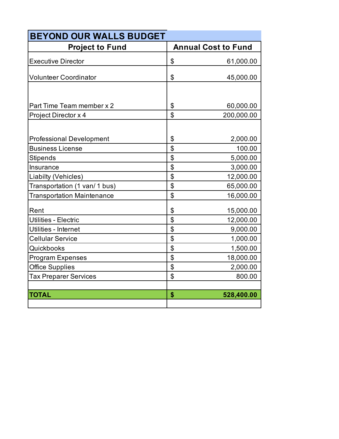| <b>BEYOND OUR WALLS BUDGET</b>    |    |                            |  |
|-----------------------------------|----|----------------------------|--|
| <b>Project to Fund</b>            |    | <b>Annual Cost to Fund</b> |  |
| <b>Executive Director</b>         | \$ | 61,000.00                  |  |
| <b>Volunteer Coordinator</b>      | \$ | 45,000.00                  |  |
|                                   |    |                            |  |
| Part Time Team member x 2         | \$ | 60,000.00                  |  |
| Project Director x 4              | \$ | 200,000.00                 |  |
| <b>Professional Development</b>   | \$ | 2,000.00                   |  |
| <b>Business License</b>           | \$ | 100.00                     |  |
| Stipends                          | \$ | 5,000.00                   |  |
| Insurance                         | \$ | 3,000.00                   |  |
| Liabilty (Vehicles)               | \$ | 12,000.00                  |  |
| Transportation (1 van/ 1 bus)     | \$ | 65,000.00                  |  |
| <b>Transportation Maintenance</b> | \$ | 16,000.00                  |  |
| Rent                              | \$ | 15,000.00                  |  |
| <b>Utilities - Electric</b>       | \$ | 12,000.00                  |  |
| Utilities - Internet              | \$ | 9,000.00                   |  |
| <b>Cellular Service</b>           | \$ | 1,000.00                   |  |
| Quickbooks                        | \$ | 1,500.00                   |  |
| <b>Program Expenses</b>           | \$ | 18,000.00                  |  |
| <b>Office Supplies</b>            | \$ | 2,000.00                   |  |
| <b>Tax Preparer Services</b>      | \$ | 800.00                     |  |
|                                   |    |                            |  |
| <b>TOTAL</b>                      | \$ | 528,400.00                 |  |
|                                   |    |                            |  |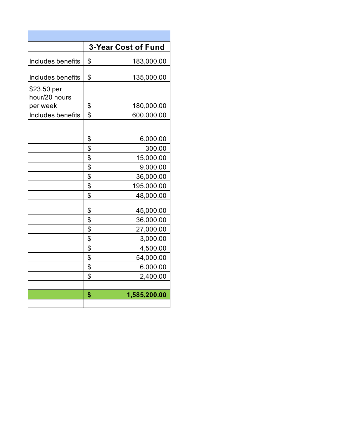|                   |               | 3-Year Cost of Fund |
|-------------------|---------------|---------------------|
| Includes benefits | \$            | 183,000.00          |
| Includes benefits | \$            | 135,000.00          |
| \$23.50 per       |               |                     |
| hour/20 hours     |               |                     |
| per week          | \$            | 180,000.00          |
| Includes benefits | \$            | 600,000.00          |
|                   |               |                     |
|                   | \$            | 6,000.00            |
|                   | \$            | 300.00              |
|                   | \$            | 15,000.00           |
|                   | \$            | 9,000.00            |
|                   | \$            | 36,000.00           |
|                   | \$            | 195,000.00          |
|                   | \$            | 48,000.00           |
|                   | \$            | 45,000.00           |
|                   | \$            | 36,000.00           |
|                   | \$            | 27,000.00           |
|                   | \$            | 3,000.00            |
|                   | \$            | 4,500.00            |
|                   | $\frac{1}{2}$ | 54,000.00           |
|                   | \$            | 6,000.00            |
|                   | \$            | 2,400.00            |
|                   |               |                     |
|                   | \$            | 1,585,200.00        |
|                   |               |                     |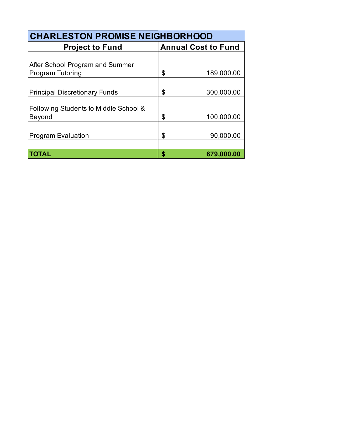| <b>CHARLESTON PROMISE NEIGHBORHOOD</b>                     |    |                            |  |
|------------------------------------------------------------|----|----------------------------|--|
| <b>Project to Fund</b>                                     |    | <b>Annual Cost to Fund</b> |  |
| After School Program and Summer<br><b>Program Tutoring</b> | \$ | 189,000.00                 |  |
| <b>Principal Discretionary Funds</b>                       | \$ | 300,000.00                 |  |
| Following Students to Middle School &<br>Beyond            | \$ | 100,000.00                 |  |
| <b>Program Evaluation</b>                                  | \$ | 90,000.00                  |  |
| <b>ITOTAL</b>                                              | \$ | 679,000.00                 |  |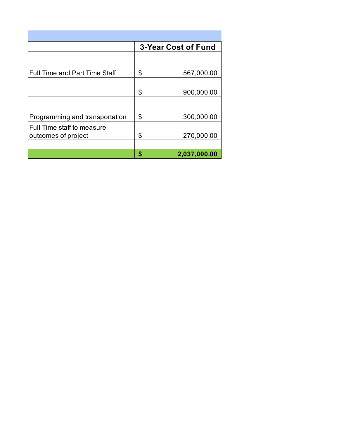|                                      |    | <b>3-Year Cost of Fund</b> |
|--------------------------------------|----|----------------------------|
|                                      |    |                            |
|                                      |    |                            |
| <b>Full Time and Part Time Staff</b> | \$ | 567,000.00                 |
|                                      |    |                            |
|                                      | \$ | 900,000.00                 |
|                                      |    |                            |
|                                      |    |                            |
| Programming and transportation       | \$ | 300,000.00                 |
| Full Time staff to measure           |    |                            |
| outcomes of project                  | \$ | 270,000.00                 |
|                                      |    |                            |
|                                      | S  | 2,037,000.00               |
|                                      |    |                            |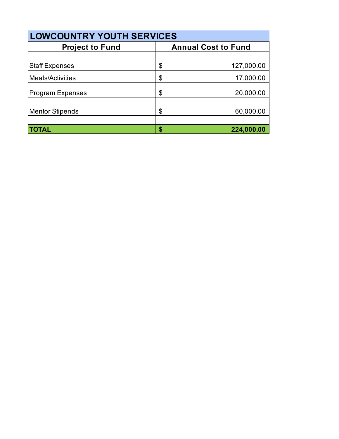| <b>LOWCOUNTRY YOUTH SERVICES</b> |    |                            |  |
|----------------------------------|----|----------------------------|--|
| <b>Project to Fund</b>           |    | <b>Annual Cost to Fund</b> |  |
|                                  |    |                            |  |
| Staff Expenses                   | \$ | 127,000.00                 |  |
| Meals/Activities                 | \$ | 17,000.00                  |  |
| <b>Program Expenses</b>          | \$ | 20,000.00                  |  |
| Mentor Stipends                  | \$ | 60,000.00                  |  |
|                                  |    |                            |  |
| <b>TOTAL</b>                     | \$ | 224,000.00                 |  |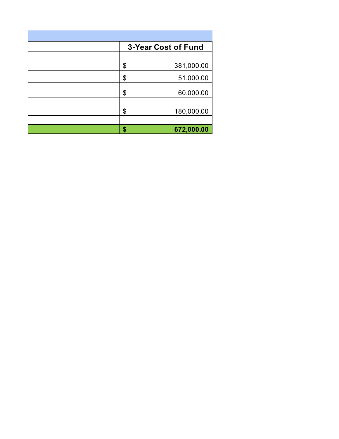| <b>3-Year Cost of Fund</b> |            |
|----------------------------|------------|
|                            |            |
| \$                         | 381,000.00 |
| \$                         | 51,000.00  |
| \$                         | 60,000.00  |
| \$                         | 180,000.00 |
|                            |            |
| S                          | 672,000.00 |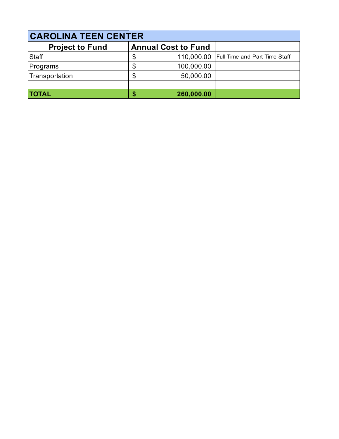| <b>CAROLINA TEEN CENTER</b> |  |                            |                                          |  |  |
|-----------------------------|--|----------------------------|------------------------------------------|--|--|
| <b>Project to Fund</b>      |  | <b>Annual Cost to Fund</b> |                                          |  |  |
| Staff                       |  |                            | 110,000.00 Full Time and Part Time Staff |  |  |
| Programs                    |  | 100,000.00                 |                                          |  |  |
| Transportation              |  | 50,000.00                  |                                          |  |  |
|                             |  |                            |                                          |  |  |
| <b>TOTAL</b>                |  | 260,000.00                 |                                          |  |  |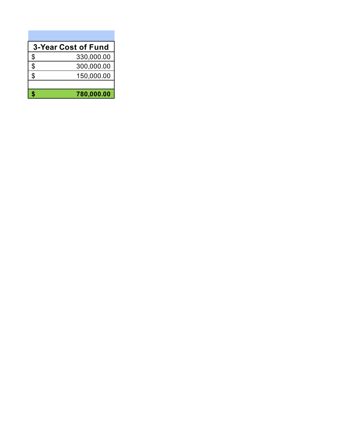| 3-Year Cost of Fund |            |  |
|---------------------|------------|--|
| \$                  | 330,000.00 |  |
| \$                  | 300,000.00 |  |
| \$                  | 150,000.00 |  |
|                     |            |  |
|                     | 780,000.00 |  |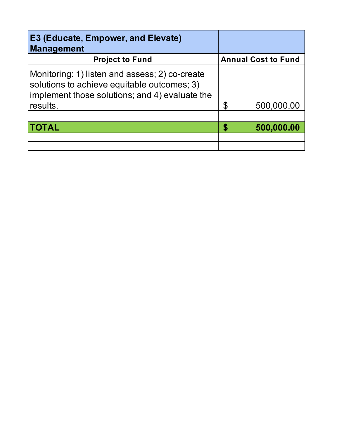| E3 (Educate, Empower, and Elevate)<br><b>Management</b>                                                                                                     |                            |
|-------------------------------------------------------------------------------------------------------------------------------------------------------------|----------------------------|
| <b>Project to Fund</b>                                                                                                                                      | <b>Annual Cost to Fund</b> |
| Monitoring: 1) listen and assess; 2) co-create<br>solutions to achieve equitable outcomes; 3)<br>implement those solutions; and 4) evaluate the<br>results. | \$<br>500,000.00           |
| <b>TOTAL</b>                                                                                                                                                | 500,000.00                 |
|                                                                                                                                                             |                            |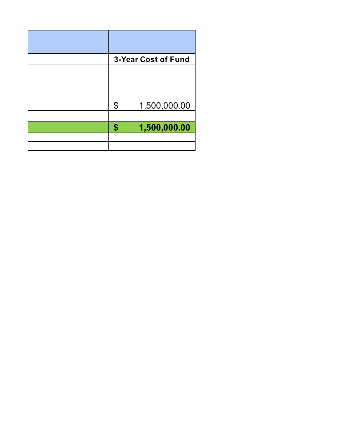|    | <b>3-Year Cost of Fund</b> |
|----|----------------------------|
| \$ | 1,500,000.00               |
|    |                            |
| \$ | 1,500,000.00               |
|    |                            |
|    |                            |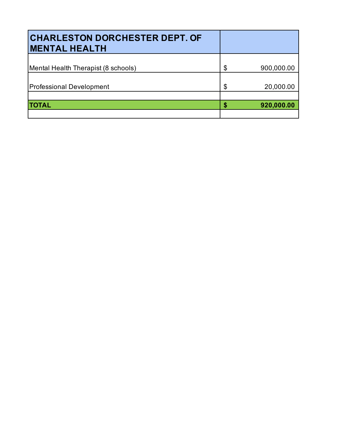| <b>CHARLESTON DORCHESTER DEPT. OF</b><br><b>MENTAL HEALTH</b> |                  |
|---------------------------------------------------------------|------------------|
|                                                               |                  |
| Mental Health Therapist (8 schools)                           | \$<br>900,000.00 |
|                                                               |                  |
| <b>Professional Development</b>                               | \$<br>20,000.00  |
|                                                               |                  |
| <b>TOTAL</b>                                                  | \$<br>920,000.00 |
|                                                               |                  |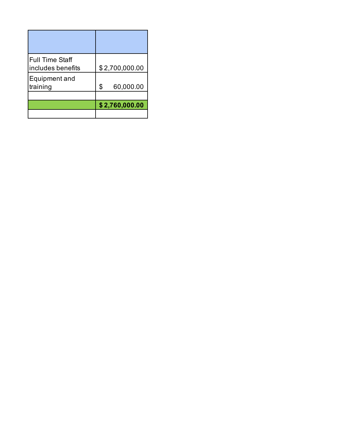| Full Time Staff<br>includes benefits | \$2,700,000.00  |
|--------------------------------------|-----------------|
| Equipment and<br>training            | \$<br>60,000.00 |
|                                      | \$2,760,000.00  |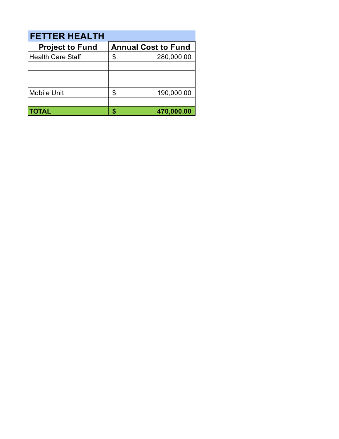| <b>FETTER HEALTH</b>     |                            |
|--------------------------|----------------------------|
| <b>Project to Fund</b>   | <b>Annual Cost to Fund</b> |
| <b>Health Care Staff</b> | \$<br>280,000.00           |
|                          |                            |
|                          |                            |
|                          |                            |
| <b>Mobile Unit</b>       | \$<br>190,000.00           |
|                          |                            |
| <b>TOTAL</b>             | 470,000.00                 |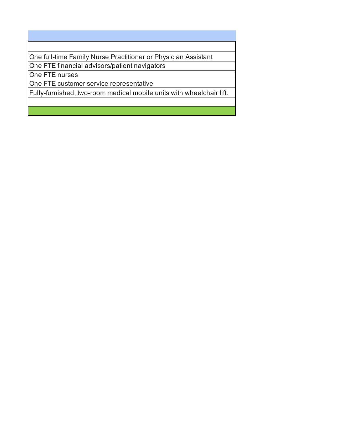One full-time Family Nurse Practitioner or Physician Assistant One FTE financial advisors/patient navigators

One FTE nurses

One FTE customer service representative

Fully-furnished, two-room medical mobile units with wheelchair lift.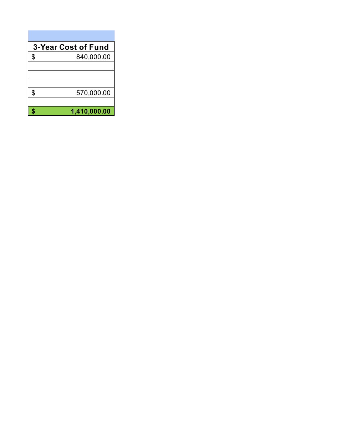|    | <b>3-Year Cost of Fund</b> |
|----|----------------------------|
| \$ | 840,000.00                 |
|    |                            |
|    |                            |
|    |                            |
| \$ | 570,000.00                 |
|    |                            |
| ¢  | 1,410,000.00               |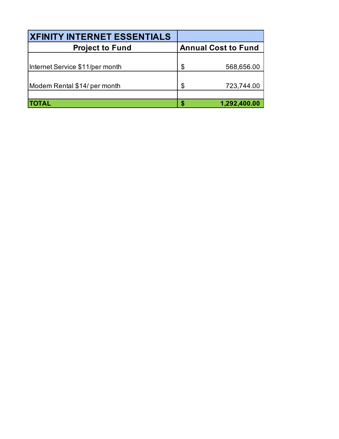| <b>XFINITY INTERNET ESSENTIALS</b> |    |                            |  |
|------------------------------------|----|----------------------------|--|
| <b>Project to Fund</b>             |    | <b>Annual Cost to Fund</b> |  |
| Internet Service \$11/per month    | \$ | 568,656.00                 |  |
| Modem Rental \$14/ per month       | \$ | 723,744.00                 |  |
| <b>TOTAL</b>                       |    | 1,292,400.00               |  |